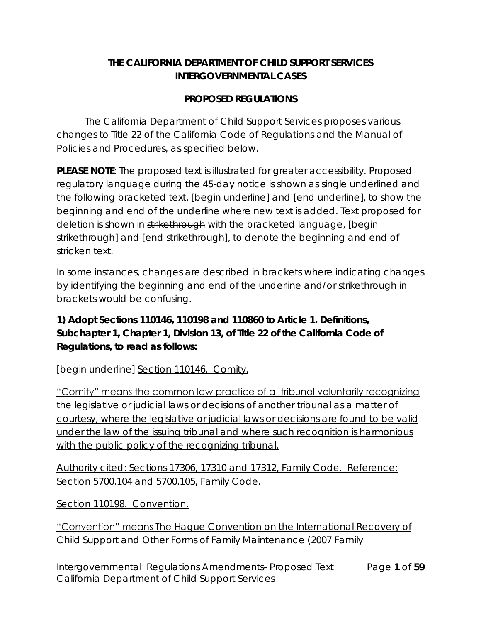## **THE CALIFORNIA DEPARTMENT OF CHILD SUPPORT SERVICES INTERGOVERNMENTAL CASES**

## **PROPOSED REGULATIONS**

The California Department of Child Support Services proposes various changes to Title 22 of the California Code of Regulations and the Manual of Policies and Procedures, as specified below.

**PLEASE NOTE**: The proposed text is illustrated for greater accessibility. Proposed regulatory language during the 45-day notice is shown as single underlined and the following bracketed text, [begin underline] and [end underline], to show the beginning and end of the underline where new text is added. Text proposed for deletion is shown in strikethrough with the bracketed language, [begin strikethrough] and [end strikethrough], to denote the beginning and end of stricken text.

In some instances, changes are described in brackets where indicating changes by identifying the beginning and end of the underline and/or strikethrough in brackets would be confusing.

**1) Adopt Sections 110146, 110198 and 110860 to Article 1. Definitions, Subchapter 1, Chapter 1, Division 13, of Title 22 of the California Code of Regulations, to read as follows:**

[begin underline] Section 110146. Comity.

"Comity" means the common law practice of a tribunal voluntarily recognizing the legislative or judicial laws or decisions of another tribunal as a matter of courtesy, where the legislative or judicial laws or decisions are found to be valid under the law of the issuing tribunal and where such recognition is harmonious with the public policy of the recognizing tribunal.

Authority cited: Sections 17306, 17310 and 17312, Family Code. Reference: Section 5700.104 and 5700.105, Family Code.

Section 110198. Convention.

"Convention" means The Hague Convention on the International Recovery of Child Support and Other Forms of Family Maintenance (2007 Family

Intergovernmental Regulations Amendments- Proposed Text Page **1** of **59** California Department of Child Support Services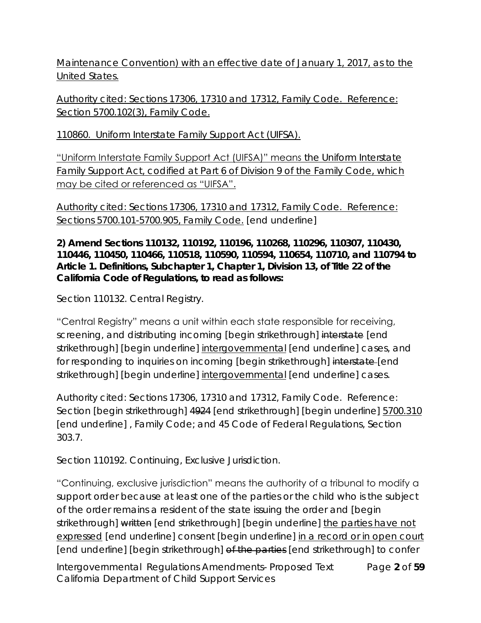Maintenance Convention) with an effective date of January 1, 2017, as to the United States.

Authority cited: Sections 17306, 17310 and 17312, Family Code. Reference: Section 5700.102(3), Family Code.

110860. Uniform Interstate Family Support Act (UIFSA).

"Uniform Interstate Family Support Act (UIFSA)" means the Uniform Interstate Family Support Act, codified at Part 6 of Division 9 of the Family Code, which may be cited or referenced as "UIFSA".

Authority cited: Sections 17306, 17310 and 17312, Family Code. Reference: Sections 5700.101-5700.905, Family Code. [end underline]

**2) Amend Sections 110132, 110192, 110196, 110268, 110296, 110307, 110430, 110446, 110450, 110466, 110518, 110590, 110594, 110654, 110710, and 110794 to Article 1. Definitions, Subchapter 1, Chapter 1, Division 13, of Title 22 of the California Code of Regulations, to read as follows:**

Section 110132. Central Registry.

"Central Registry" means a unit within each state responsible for receiving, screening, and distributing incoming [begin strikethrough] interstate [end strikethrough] [begin underline] intergovernmental [end underline] cases, and for responding to inquiries on incoming [begin strikethrough] interstate-[end strikethrough] [begin underline] intergovernmental [end underline] cases.

Authority cited: Sections 17306, 17310 and 17312, Family Code. Reference: Section [begin strikethrough] 4924 [end strikethrough] [begin underline] 5700.310 [end underline] , Family Code; and 45 Code of Federal Regulations, Section 303.7.

Section 110192. Continuing, Exclusive Jurisdiction.

"Continuing, exclusive jurisdiction" means the authority of a tribunal to modify a support order because at least one of the parties or the child who is the subject of the order remains a resident of the state issuing the order and [begin strikethrough] written [end strikethrough] [begin underline] the parties have not expressed [end underline] consent [begin underline] in a record or in open court [end underline] [begin strikethrough] of the parties [end strikethrough] to confer

Intergovernmental Regulations Amendments- Proposed Text Page **2** of **59** California Department of Child Support Services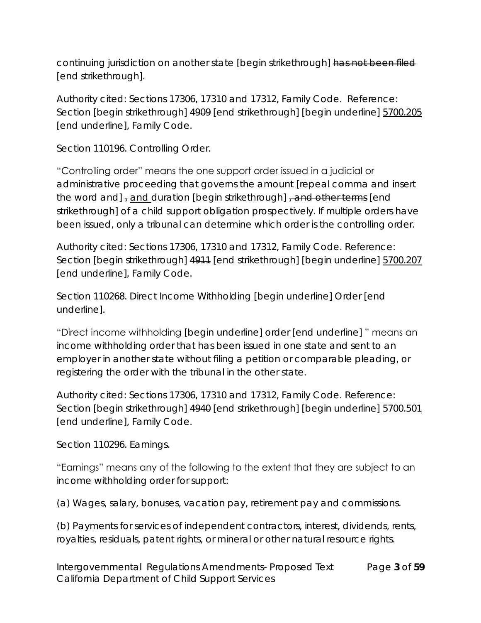continuing jurisdiction on another state [begin strikethrough] has not been filed [end strikethrough].

Authority cited: Sections 17306, 17310 and 17312, Family Code. Reference: Section [begin strikethrough] 4909 [end strikethrough] [begin underline] 5700.205 [end underline], Family Code.

Section 110196. Controlling Order.

"Controlling order" means the one support order issued in a judicial or administrative proceeding that governs the amount [repeal comma and insert the word and], and duration [begin strikethrough], and other terms [end] strikethrough] of a child support obligation prospectively. If multiple orders have been issued, only a tribunal can determine which order is the controlling order.

Authority cited: Sections 17306, 17310 and 17312, Family Code. Reference: Section [begin strikethrough] 4911 [end strikethrough] [begin underline] 5700.207 [end underline], Family Code.

Section 110268. Direct Income Withholding [begin underline] Order [end underline].

"Direct income withholding [begin underline] order [end underline] " means an income withholding order that has been issued in one state and sent to an employer in another state without filing a petition or comparable pleading, or registering the order with the tribunal in the other state.

Authority cited: Sections 17306, 17310 and 17312, Family Code. Reference: Section [begin strikethrough] 4940 [end strikethrough] [begin underline] 5700.501 [end underline], Family Code.

Section 110296. Earnings.

"Earnings" means any of the following to the extent that they are subject to an income withholding order for support:

(a) Wages, salary, bonuses, vacation pay, retirement pay and commissions.

(b) Payments for services of independent contractors, interest, dividends, rents, royalties, residuals, patent rights, or mineral or other natural resource rights.

Intergovernmental Regulations Amendments- Proposed Text Page **3** of **59** California Department of Child Support Services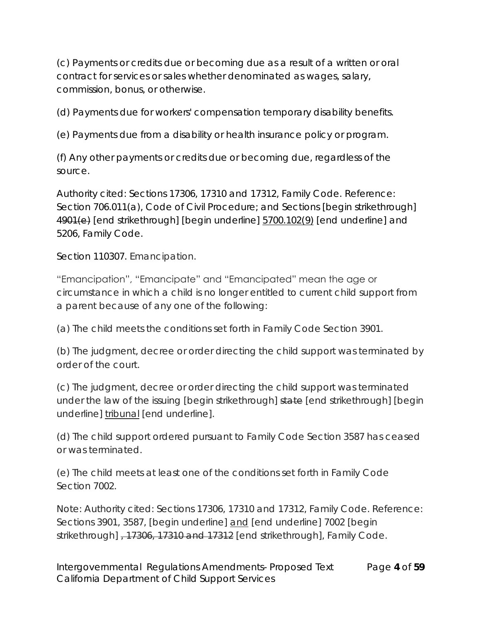(c) Payments or credits due or becoming due as a result of a written or oral contract for services or sales whether denominated as wages, salary, commission, bonus, or otherwise.

(d) Payments due for workers' compensation temporary disability benefits.

(e) Payments due from a disability or health insurance policy or program.

(f) Any other payments or credits due or becoming due, regardless of the source.

Authority cited: Sections 17306, 17310 and 17312, Family Code. Reference: Section 706.011(a), Code of Civil Procedure; and Sections [begin strikethrough] 4901(e) [end strikethrough] [begin underline] 5700.102(9) [end underline] and 5206, Family Code.

Section 110307. Emancipation.

"Emancipation", "Emancipate" and "Emancipated" mean the age or circumstance in which a child is no longer entitled to current child support from a parent because of any one of the following:

(a) The child meets the conditions set forth in Family Code Section 3901.

(b) The judgment, decree or order directing the child support was terminated by order of the court.

(c) The judgment, decree or order directing the child support was terminated under the law of the issuing [begin strikethrough] state [end strikethrough] [begin underline] tribunal [end underline].

(d) The child support ordered pursuant to Family Code Section 3587 has ceased or was terminated.

(e) The child meets at least one of the conditions set forth in Family Code Section 7002.

Note: Authority cited: Sections 17306, 17310 and 17312, Family Code. Reference: Sections 3901, 3587, [begin underline] and [end underline] 7002 [begin strikethrough]  $-17306$ , 17310 and 17312 [end strikethrough], Family Code.

Intergovernmental Regulations Amendments- Proposed Text Page **4** of **59** California Department of Child Support Services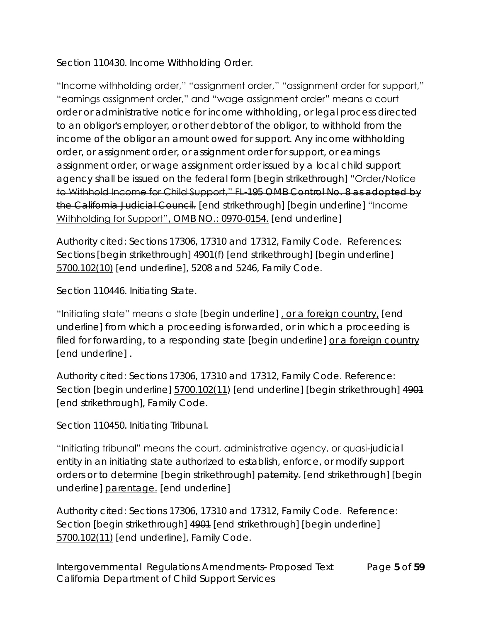Section 110430. Income Withholding Order.

"Income withholding order," "assignment order," "assignment order for support," "earnings assignment order," and "wage assignment order" means a court order or administrative notice for income withholding, or legal process directed to an obligor's employer, or other debtor of the obligor, to withhold from the income of the obligor an amount owed for support. Any income withholding order, or assignment order, or assignment order for support, or earnings assignment order, or wage assignment order issued by a local child support agency shall be issued on the federal form [begin strikethrough] "Order/Notice to Withhold Income for Child Support," FL-195 OMB Control No. 8 as adopted by the California Judicial Council. [end strikethrough] [begin underline] "Income Withholding for Support", OMB NO.: 0970-0154. [end underline]

Authority cited: Sections 17306, 17310 and 17312, Family Code. References: Sections [begin strikethrough]  $4901(f)$  [end strikethrough] [begin underline] 5700.102(10) [end underline], 5208 and 5246, Family Code.

Section 110446. Initiating State.

"Initiating state" means a state [begin underline] , or a foreign country, [end underline] from which a proceeding is forwarded, or in which a proceeding is filed for forwarding, to a responding state [begin underline] or a foreign country [end underline] .

Authority cited: Sections 17306, 17310 and 17312, Family Code. Reference: Section [begin underline] 5700.102(11) [end underline] [begin strikethrough] 4901 [end strikethrough], Family Code.

Section 110450. Initiating Tribunal.

"Initiating tribunal" means the court, administrative agency, or quasi-judicial entity in an initiating state authorized to establish, enforce, or modify support orders or to determine [begin strikethrough] paternity. [end strikethrough] [begin underline] parentage. [end underline]

Authority cited: Sections 17306, 17310 and 17312, Family Code. Reference: Section [begin strikethrough] 4901 [end strikethrough] [begin underline] 5700.102(11) [end underline], Family Code.

Intergovernmental Regulations Amendments- Proposed Text Page **5** of **59** California Department of Child Support Services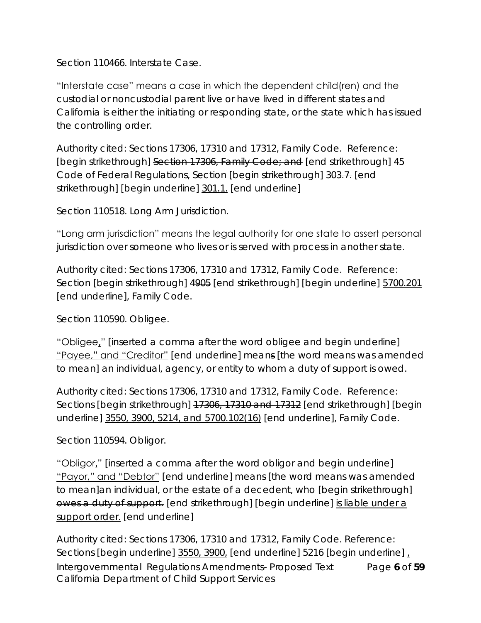Section 110466. Interstate Case.

"Interstate case" means a case in which the dependent child(ren) and the custodial or noncustodial parent live or have lived in different states and California is either the initiating or responding state, or the state which has issued the controlling order.

Authority cited: Sections 17306, 17310 and 17312, Family Code. Reference: [begin strikethrough] Section 17306, Family Code; and [end strikethrough] 45 Code of Federal Regulations, Section [begin strikethrough] 303.7. [end strikethrough] [begin underline] 301.1. [end underline]

Section 110518. Long Arm Jurisdiction.

"Long arm jurisdiction" means the legal authority for one state to assert personal jurisdiction over someone who lives or is served with process in another state.

Authority cited: Sections 17306, 17310 and 17312, Family Code. Reference: Section [begin strikethrough] 4905 [end strikethrough] [begin underline] 5700.201 [end underline], Family Code.

Section 110590. Obligee.

"Obligee," [inserted a comma after the word obligee and begin underline] "Payee," and "Creditor" [end underline] means [the word means was amended to mean] an individual, agency, or entity to whom a duty of support is owed.

Authority cited: Sections 17306, 17310 and 17312, Family Code. Reference: Sections [begin strikethrough] 17306, 17310 and 17312 [end strikethrough] [begin underline] 3550, 3900, 5214, and 5700.102(16) [end underline], Family Code.

Section 110594. Obligor.

"Obligor," [inserted a comma after the word obligor and begin underline] "Payor," and "Debtor" [end underline] means [the word means was amended to mean]an individual, or the estate of a decedent, who [begin strikethrough] owes a duty of support. [end strikethrough] [begin underline] is liable under a support order. [end underline]

Intergovernmental Regulations Amendments- Proposed Text Page **6** of **59** California Department of Child Support Services Authority cited: Sections 17306, 17310 and 17312, Family Code. Reference: Sections [begin underline] 3550, 3900, [end underline] 5216 [begin underline],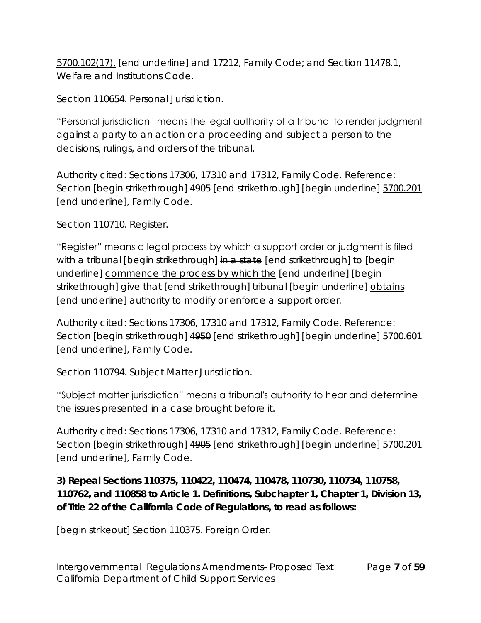5700.102(17), [end underline] and 17212, Family Code; and Section 11478.1, Welfare and Institutions Code.

Section 110654. Personal Jurisdiction.

"Personal jurisdiction" means the legal authority of a tribunal to render judgment against a party to an action or a proceeding and subject a person to the decisions, rulings, and orders of the tribunal.

Authority cited: Sections 17306, 17310 and 17312, Family Code. Reference: Section [begin strikethrough] 4905 [end strikethrough] [begin underline] 5700.201 [end underline], Family Code.

Section 110710. Register.

"Register" means a legal process by which a support order or judgment is filed with a tribunal [begin strikethrough] in a state [end strikethrough] to [begin underline] commence the process by which the [end underline] [begin strikethrough] give that [end strikethrough] tribunal [begin underline] obtains [end underline] authority to modify or enforce a support order.

Authority cited: Sections 17306, 17310 and 17312, Family Code. Reference: Section [begin strikethrough] 4950 [end strikethrough] [begin underline] 5700.601 [end underline], Family Code.

Section 110794. Subject Matter Jurisdiction.

"Subject matter jurisdiction" means a tribunal's authority to hear and determine the issues presented in a case brought before it.

Authority cited: Sections 17306, 17310 and 17312, Family Code. Reference: Section [begin strikethrough] 4905 [end strikethrough] [begin underline] 5700.201 [end underline], Family Code.

**3) Repeal Sections 110375, 110422, 110474, 110478, 110730, 110734, 110758, 110762, and 110858 to Article 1. Definitions, Subchapter 1, Chapter 1, Division 13, of Title 22 of the California Code of Regulations, to read as follows:**

[begin strikeout] Section 110375. Foreign Order.

Intergovernmental Regulations Amendments- Proposed Text Page **7** of **59** California Department of Child Support Services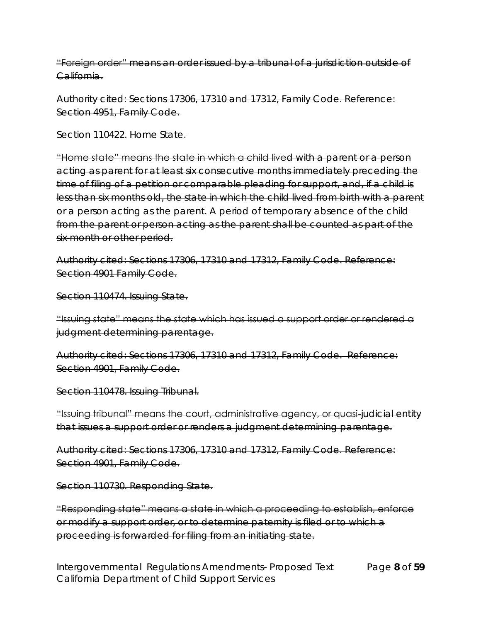"Foreign order" means an order issued by a tribunal of a jurisdiction outside of California.

Authority cited: Sections 17306, 17310 and 17312, Family Code. Reference: Section 4951, Family Code.

Section 110422. Home State.

"Home state" means the state in which a child lived with a parent or a person acting as parent for at least six consecutive months immediately preceding the time of filing of a petition or comparable pleading for support, and, if a child is less than six months old, the state in which the child lived from birth with a parent or a person acting as the parent. A period of temporary absence of the child from the parent or person acting as the parent shall be counted as part of the six month or other period.

Authority cited: Sections 17306, 17310 and 17312, Family Code. Reference: Section 4901 Family Code.

Section 110474. Issuing State.

"Issuing state" means the state which has issued a support order or rendered a judgment determining parentage.

Authority cited: Sections 17306, 17310 and 17312, Family Code. Reference: Section 4901, Family Code.

Section 110478. Issuing Tribunal.

"Issuing tribunal" means the court, administrative agency, or quasi-judicial entity that issues a support order or renders a judgment determining parentage.

Authority cited: Sections 17306, 17310 and 17312, Family Code. Reference: Section 4901, Family Code.

Section 110730. Responding State.

"Responding state" means a state in which a proceeding to establish, enforce or modify a support order, or to determine paternity is filed or to which a proceeding is forwarded for filing from an initiating state.

Intergovernmental Regulations Amendments- Proposed Text Page **8** of **59** California Department of Child Support Services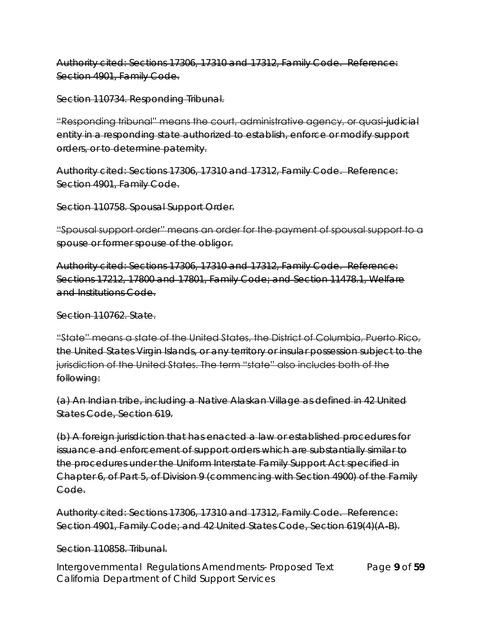Authority cited: Sections 17306, 17310 and 17312, Family Code. Reference: Section 4901, Family Code.

Section 110734. Responding Tribunal.

"Responding tribunal" means the court, administrative agency, or quasi-judicial entity in a responding state authorized to establish, enforce or modify support orders, or to determine paternity.

Authority cited: Sections 17306, 17310 and 17312, Family Code. Reference: Section 4901, Family Code.

Section 110758. Spousal Support Order.

"Spousal support order" means an order for the payment of spousal support to a spouse or former spouse of the obligor.

Authority cited: Sections 17306, 17310 and 17312, Family Code. Reference: Sections 17212, 17800 and 17801, Family Code; and Section 11478.1, Welfare and Institutions Code.

Section 110762. State.

"State" means a state of the United States, the District of Columbia, Puerto Rico, the United States Virgin Islands, or any territory or insular possession subject to the jurisdiction of the United States. The term "state" also includes both of the following:

(a) An Indian tribe, including a Native Alaskan Village as defined in 42 United States Code, Section 619.

(b) A foreign jurisdiction that has enacted a law or established procedures for issuance and enforcement of support orders which are substantially similar to the procedures under the Uniform Interstate Family Support Act specified in Chapter 6, of Part 5, of Division 9 (commencing with Section 4900) of the Family Code.

Authority cited: Sections 17306, 17310 and 17312, Family Code. Reference: Section 4901, Family Code; and 42 United States Code, Section 619(4)(A-B).

## Section 110858. Tribunal.

Intergovernmental Regulations Amendments- Proposed Text Page **9** of **59** California Department of Child Support Services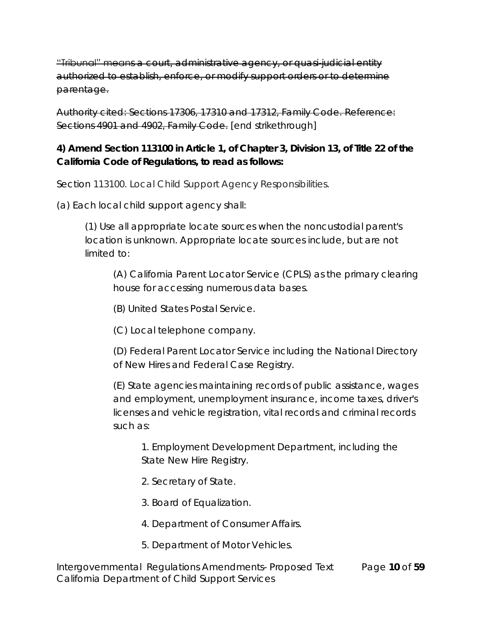"Tribunal" means a court, administrative agency, or quasi-judicial entity authorized to establish, enforce, or modify support orders or to determine parentage.

Authority cited: Sections 17306, 17310 and 17312, Family Code. Reference: Sections 4901 and 4902, Family Code. [end strikethrough]

**4) Amend Section 113100 in Article 1, of Chapter 3, Division 13, of Title 22 of the California Code of Regulations, to read as follows:**

Section 113100. Local Child Support Agency Responsibilities.

(a) Each local child support agency shall:

(1) Use all appropriate locate sources when the noncustodial parent's location is unknown. Appropriate locate sources include, but are not limited to:

(A) California Parent Locator Service (CPLS) as the primary clearing house for accessing numerous data bases.

(B) United States Postal Service.

(C) Local telephone company.

(D) Federal Parent Locator Service including the National Directory of New Hires and Federal Case Registry.

(E) State agencies maintaining records of public assistance, wages and employment, unemployment insurance, income taxes, driver's licenses and vehicle registration, vital records and criminal records such as:

1. Employment Development Department, including the State New Hire Registry.

- 2. Secretary of State.
- 3. Board of Equalization.
- 4. Department of Consumer Affairs.
- 5. Department of Motor Vehicles.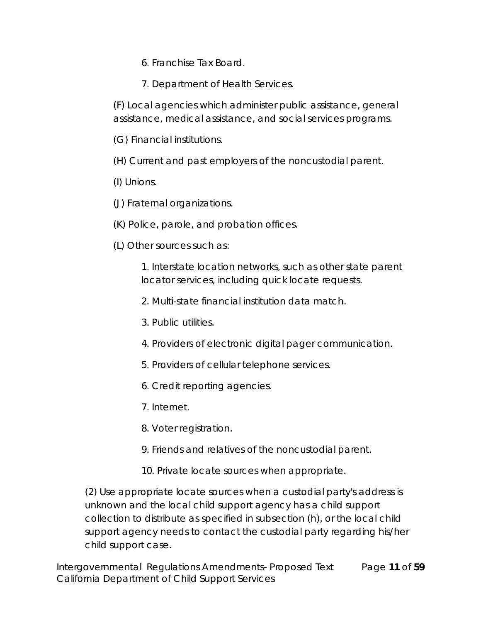- 6. Franchise Tax Board.
- 7. Department of Health Services.

(F) Local agencies which administer public assistance, general assistance, medical assistance, and social services programs.

(G) Financial institutions.

(H) Current and past employers of the noncustodial parent.

(I) Unions.

(J) Fraternal organizations.

(K) Police, parole, and probation offices.

(L) Other sources such as:

1. Interstate location networks, such as other state parent locator services, including quick locate requests.

2. Multi-state financial institution data match.

3. Public utilities.

4. Providers of electronic digital pager communication.

5. Providers of cellular telephone services.

6. Credit reporting agencies.

7. Internet.

8. Voter registration.

9. Friends and relatives of the noncustodial parent.

10. Private locate sources when appropriate.

(2) Use appropriate locate sources when a custodial party's address is unknown and the local child support agency has a child support collection to distribute as specified in subsection (h), or the local child support agency needs to contact the custodial party regarding his/her child support case.

Intergovernmental Regulations Amendments- Proposed Text Page **11** of **59** California Department of Child Support Services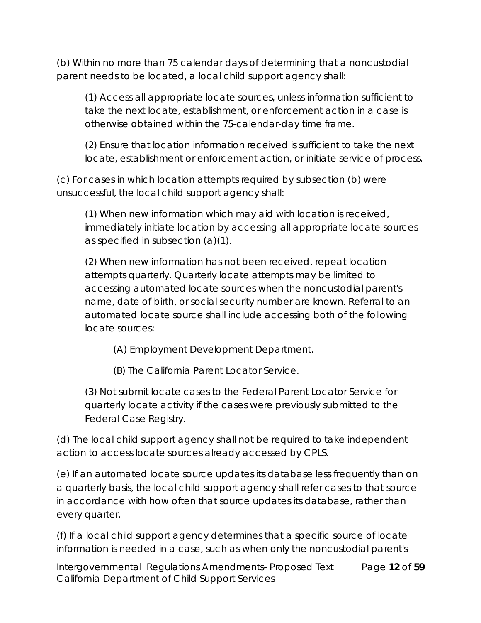(b) Within no more than 75 calendar days of determining that a noncustodial parent needs to be located, a local child support agency shall:

(1) Access all appropriate locate sources, unless information sufficient to take the next locate, establishment, or enforcement action in a case is otherwise obtained within the 75-calendar-day time frame.

(2) Ensure that location information received is sufficient to take the next locate, establishment or enforcement action, or initiate service of process.

(c) For cases in which location attempts required by subsection (b) were unsuccessful, the local child support agency shall:

(1) When new information which may aid with location is received, immediately initiate location by accessing all appropriate locate sources as specified in subsection (a)(1).

(2) When new information has not been received, repeat location attempts quarterly. Quarterly locate attempts may be limited to accessing automated locate sources when the noncustodial parent's name, date of birth, or social security number are known. Referral to an automated locate source shall include accessing both of the following locate sources:

(A) Employment Development Department.

(B) The California Parent Locator Service.

(3) Not submit locate cases to the Federal Parent Locator Service for quarterly locate activity if the cases were previously submitted to the Federal Case Registry.

(d) The local child support agency shall not be required to take independent action to access locate sources already accessed by CPLS.

(e) If an automated locate source updates its database less frequently than on a quarterly basis, the local child support agency shall refer cases to that source in accordance with how often that source updates its database, rather than every quarter.

(f) If a local child support agency determines that a specific source of locate information is needed in a case, such as when only the noncustodial parent's

Intergovernmental Regulations Amendments- Proposed Text Page **12** of **59** California Department of Child Support Services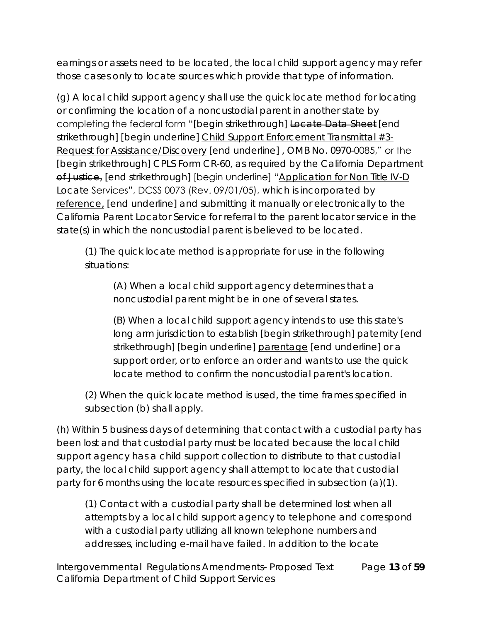earnings or assets need to be located, the local child support agency may refer those cases only to locate sources which provide that type of information.

(g) A local child support agency shall use the quick locate method for locating or confirming the location of a noncustodial parent in another state by completing the federal form "[begin strikethrough] Locate Data Sheet [end strikethrough] [begin underline] Child Support Enforcement Transmittal #3- Request for Assistance/Discovery [end underline] , OMB No. 0970-0085," or the [begin strikethrough] CPLS Form CR 60, as required by the California Department of Justice, [end strikethrough] [begin underline] "Application for Non Title IV-D Locate Services", DCSS 0073 (Rev. 09/01/05), which is incorporated by reference, [end underline] and submitting it manually or electronically to the California Parent Locator Service for referral to the parent locator service in the state(s) in which the noncustodial parent is believed to be located.

(1) The quick locate method is appropriate for use in the following situations:

(A) When a local child support agency determines that a noncustodial parent might be in one of several states.

(B) When a local child support agency intends to use this state's long arm jurisdiction to establish [begin strikethrough] paternity [end strikethrough] [begin underline] parentage [end underline] or a support order, or to enforce an order and wants to use the quick locate method to confirm the noncustodial parent's location.

(2) When the quick locate method is used, the time frames specified in subsection (b) shall apply.

(h) Within 5 business days of determining that contact with a custodial party has been lost and that custodial party must be located because the local child support agency has a child support collection to distribute to that custodial party, the local child support agency shall attempt to locate that custodial party for 6 months using the locate resources specified in subsection (a)(1).

(1) Contact with a custodial party shall be determined lost when all attempts by a local child support agency to telephone and correspond with a custodial party utilizing all known telephone numbers and addresses, including e-mail have failed. In addition to the locate

Intergovernmental Regulations Amendments- Proposed Text Page **13** of **59** California Department of Child Support Services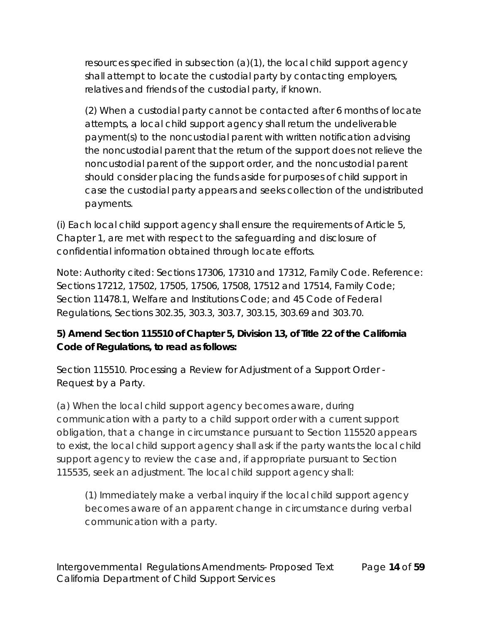resources specified in subsection (a)(1), the local child support agency shall attempt to locate the custodial party by contacting employers, relatives and friends of the custodial party, if known.

(2) When a custodial party cannot be contacted after 6 months of locate attempts, a local child support agency shall return the undeliverable payment(s) to the noncustodial parent with written notification advising the noncustodial parent that the return of the support does not relieve the noncustodial parent of the support order, and the noncustodial parent should consider placing the funds aside for purposes of child support in case the custodial party appears and seeks collection of the undistributed payments.

(i) Each local child support agency shall ensure the requirements of Article 5, Chapter 1, are met with respect to the safeguarding and disclosure of confidential information obtained through locate efforts.

Note: Authority cited: Sections 17306, 17310 and 17312, Family Code. Reference: Sections 17212, 17502, 17505, 17506, 17508, 17512 and 17514, Family Code; Section 11478.1, Welfare and Institutions Code; and 45 Code of Federal Regulations, Sections 302.35, 303.3, 303.7, 303.15, 303.69 and 303.70.

**5) Amend Section 115510 of Chapter 5, Division 13, of Title 22 of the California Code of Regulations, to read as follows:**

Section 115510. Processing a Review for Adjustment of a Support Order - Request by a Party.

(a) When the local child support agency becomes aware, during communication with a party to a child support order with a current support obligation, that a change in circumstance pursuant to Section 115520 appears to exist, the local child support agency shall ask if the party wants the local child support agency to review the case and, if appropriate pursuant to Section 115535, seek an adjustment. The local child support agency shall:

(1) Immediately make a verbal inquiry if the local child support agency becomes aware of an apparent change in circumstance during verbal communication with a party.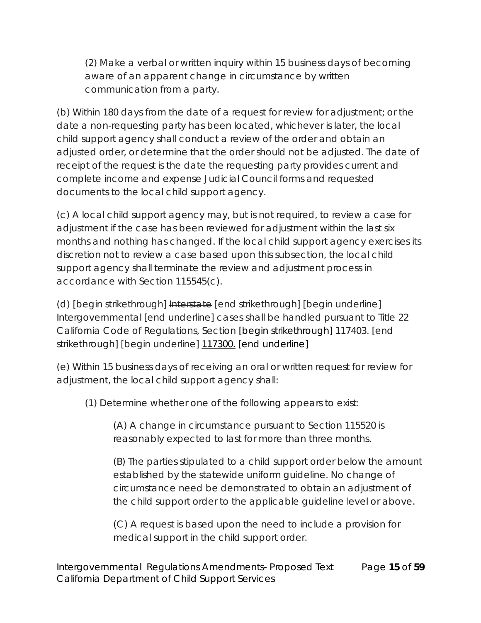(2) Make a verbal or written inquiry within 15 business days of becoming aware of an apparent change in circumstance by written communication from a party.

(b) Within 180 days from the date of a request for review for adjustment; or the date a non-requesting party has been located, whichever is later, the local child support agency shall conduct a review of the order and obtain an adjusted order, or determine that the order should not be adjusted. The date of receipt of the request is the date the requesting party provides current and complete income and expense Judicial Council forms and requested documents to the local child support agency.

(c) A local child support agency may, but is not required, to review a case for adjustment if the case has been reviewed for adjustment within the last six months and nothing has changed. If the local child support agency exercises its discretion not to review a case based upon this subsection, the local child support agency shall terminate the review and adjustment process in accordance with Section 115545(c).

(d) [begin strikethrough] Interstate [end strikethrough] [begin underline] Intergovernmental [end underline] cases shall be handled pursuant to Title 22 California Code of Regulations, Section [begin strikethrough] 117403. [end strikethrough] [begin underline] 117300. [end underline]

(e) Within 15 business days of receiving an oral or written request for review for adjustment, the local child support agency shall:

(1) Determine whether one of the following appears to exist:

(A) A change in circumstance pursuant to Section 115520 is reasonably expected to last for more than three months.

(B) The parties stipulated to a child support order below the amount established by the statewide uniform guideline. No change of circumstance need be demonstrated to obtain an adjustment of the child support order to the applicable guideline level or above.

(C) A request is based upon the need to include a provision for medical support in the child support order.

Intergovernmental Regulations Amendments- Proposed Text Page **15** of **59** California Department of Child Support Services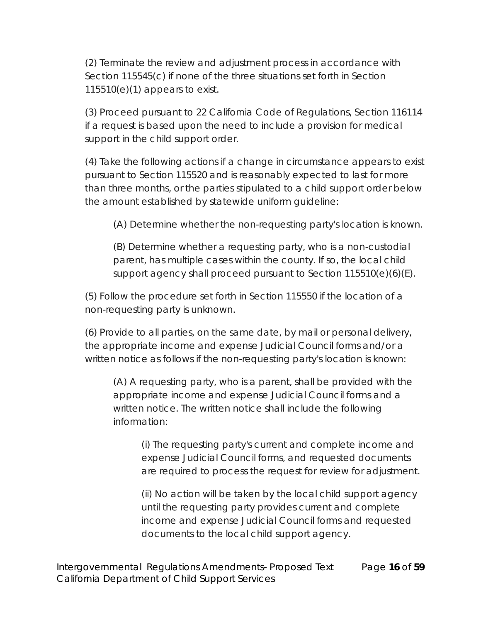(2) Terminate the review and adjustment process in accordance with Section 115545(c) if none of the three situations set forth in Section 115510(e)(1) appears to exist.

(3) Proceed pursuant to 22 California Code of Regulations, Section 116114 if a request is based upon the need to include a provision for medical support in the child support order.

(4) Take the following actions if a change in circumstance appears to exist pursuant to Section 115520 and is reasonably expected to last for more than three months, or the parties stipulated to a child support order below the amount established by statewide uniform guideline:

(A) Determine whether the non-requesting party's location is known.

(B) Determine whether a requesting party, who is a non-custodial parent, has multiple cases within the county. If so, the local child support agency shall proceed pursuant to Section 115510(e)(6)(E).

(5) Follow the procedure set forth in Section 115550 if the location of a non-requesting party is unknown.

(6) Provide to all parties, on the same date, by mail or personal delivery, the appropriate income and expense Judicial Council forms and/or a written notice as follows if the non-requesting party's location is known:

(A) A requesting party, who is a parent, shall be provided with the appropriate income and expense Judicial Council forms and a written notice. The written notice shall include the following information:

(i) The requesting party's current and complete income and expense Judicial Council forms, and requested documents are required to process the request for review for adjustment.

(ii) No action will be taken by the local child support agency until the requesting party provides current and complete income and expense Judicial Council forms and requested documents to the local child support agency.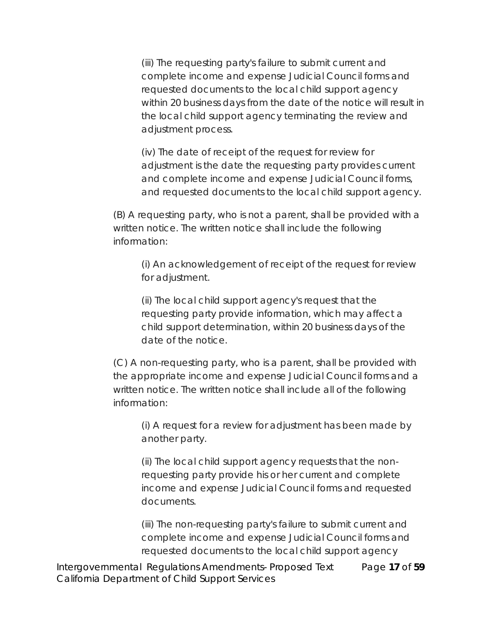(iii) The requesting party's failure to submit current and complete income and expense Judicial Council forms and requested documents to the local child support agency within 20 business days from the date of the notice will result in the local child support agency terminating the review and adjustment process.

(iv) The date of receipt of the request for review for adjustment is the date the requesting party provides current and complete income and expense Judicial Council forms, and requested documents to the local child support agency.

(B) A requesting party, who is not a parent, shall be provided with a written notice. The written notice shall include the following information:

(i) An acknowledgement of receipt of the request for review for adjustment.

(ii) The local child support agency's request that the requesting party provide information, which may affect a child support determination, within 20 business days of the date of the notice.

(C) A non-requesting party, who is a parent, shall be provided with the appropriate income and expense Judicial Council forms and a written notice. The written notice shall include all of the following information:

(i) A request for a review for adjustment has been made by another party.

(ii) The local child support agency requests that the nonrequesting party provide his or her current and complete income and expense Judicial Council forms and requested documents.

(iii) The non-requesting party's failure to submit current and complete income and expense Judicial Council forms and requested documents to the local child support agency

Intergovernmental Regulations Amendments- Proposed Text Page **17** of **59** California Department of Child Support Services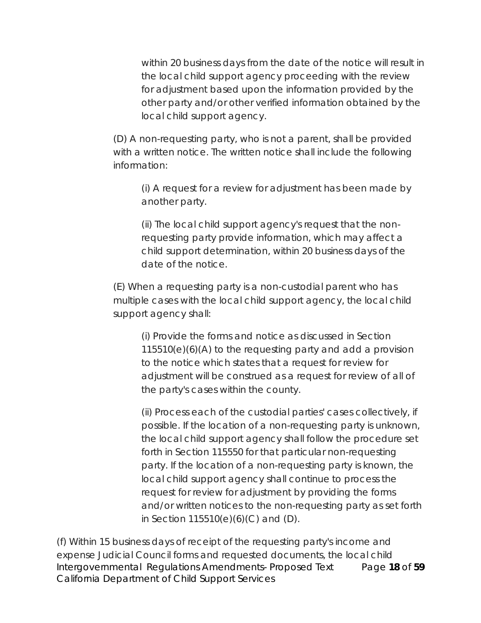within 20 business days from the date of the notice will result in the local child support agency proceeding with the review for adjustment based upon the information provided by the other party and/or other verified information obtained by the local child support agency.

(D) A non-requesting party, who is not a parent, shall be provided with a written notice. The written notice shall include the following information:

(i) A request for a review for adjustment has been made by another party.

(ii) The local child support agency's request that the nonrequesting party provide information, which may affect a child support determination, within 20 business days of the date of the notice.

(E) When a requesting party is a non-custodial parent who has multiple cases with the local child support agency, the local child support agency shall:

(i) Provide the forms and notice as discussed in Section 115510(e)(6)(A) to the requesting party and add a provision to the notice which states that a request for review for adjustment will be construed as a request for review of all of the party's cases within the county.

(ii) Process each of the custodial parties' cases collectively, if possible. If the location of a non-requesting party is unknown, the local child support agency shall follow the procedure set forth in Section 115550 for that particular non-requesting party. If the location of a non-requesting party is known, the local child support agency shall continue to process the request for review for adjustment by providing the forms and/or written notices to the non-requesting party as set forth in Section  $115510(e)(6)(C)$  and  $(D)$ .

Intergovernmental Regulations Amendments- Proposed Text Page **18** of **59** California Department of Child Support Services (f) Within 15 business days of receipt of the requesting party's income and expense Judicial Council forms and requested documents, the local child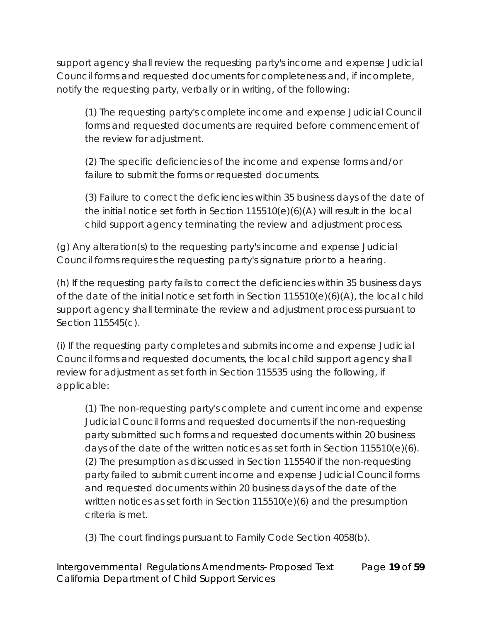support agency shall review the requesting party's income and expense Judicial Council forms and requested documents for completeness and, if incomplete, notify the requesting party, verbally or in writing, of the following:

(1) The requesting party's complete income and expense Judicial Council forms and requested documents are required before commencement of the review for adjustment.

(2) The specific deficiencies of the income and expense forms and/or failure to submit the forms or requested documents.

(3) Failure to correct the deficiencies within 35 business days of the date of the initial notice set forth in Section 115510(e)(6)(A) will result in the local child support agency terminating the review and adjustment process.

(g) Any alteration(s) to the requesting party's income and expense Judicial Council forms requires the requesting party's signature prior to a hearing.

(h) If the requesting party fails to correct the deficiencies within 35 business days of the date of the initial notice set forth in Section 115510(e)(6)(A), the local child support agency shall terminate the review and adjustment process pursuant to Section 115545(c).

(i) If the requesting party completes and submits income and expense Judicial Council forms and requested documents, the local child support agency shall review for adjustment as set forth in Section 115535 using the following, if applicable:

(1) The non-requesting party's complete and current income and expense Judicial Council forms and requested documents if the non-requesting party submitted such forms and requested documents within 20 business days of the date of the written notices as set forth in Section 115510(e)(6). (2) The presumption as discussed in Section 115540 if the non-requesting party failed to submit current income and expense Judicial Council forms and requested documents within 20 business days of the date of the written notices as set forth in Section 115510(e)(6) and the presumption criteria is met.

(3) The court findings pursuant to Family Code Section 4058(b).

Intergovernmental Regulations Amendments- Proposed Text Page **19** of **59** California Department of Child Support Services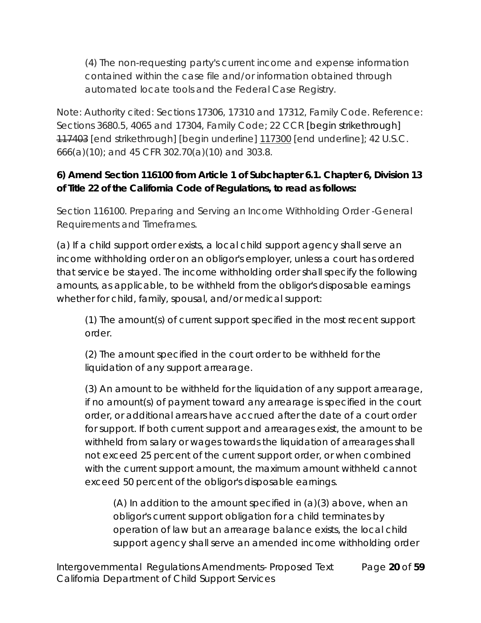(4) The non-requesting party's current income and expense information contained within the case file and/or information obtained through automated locate tools and the Federal Case Registry.

Note: Authority cited: Sections 17306, 17310 and 17312, Family Code. Reference: Sections 3680.5, 4065 and 17304, Family Code; 22 CCR [begin strikethrough] 117403 [end strikethrough] [begin underline] 117300 [end underline]; 42 U.S.C. 666(a)(10); and 45 CFR 302.70(a)(10) and 303.8.

**6) Amend Section 116100 from Article 1 of Subchapter 6.1. Chapter 6, Division 13 of Title 22 of the California Code of Regulations, to read as follows:**

Section 116100. Preparing and Serving an Income Withholding Order -General Requirements and Timeframes.

(a) If a child support order exists, a local child support agency shall serve an income withholding order on an obligor's employer, unless a court has ordered that service be stayed. The income withholding order shall specify the following amounts, as applicable, to be withheld from the obligor's disposable earnings whether for child, family, spousal, and/or medical support:

(1) The amount(s) of current support specified in the most recent support order.

(2) The amount specified in the court order to be withheld for the liquidation of any support arrearage.

(3) An amount to be withheld for the liquidation of any support arrearage, if no amount(s) of payment toward any arrearage is specified in the court order, or additional arrears have accrued after the date of a court order for support. If both current support and arrearages exist, the amount to be withheld from salary or wages towards the liquidation of arrearages shall not exceed 25 percent of the current support order, or when combined with the current support amount, the maximum amount withheld cannot exceed 50 percent of the obligor's disposable earnings.

(A) In addition to the amount specified in (a)(3) above, when an obligor's current support obligation for a child terminates by operation of law but an arrearage balance exists, the local child support agency shall serve an amended income withholding order

Intergovernmental Regulations Amendments- Proposed Text Page **20** of **59** California Department of Child Support Services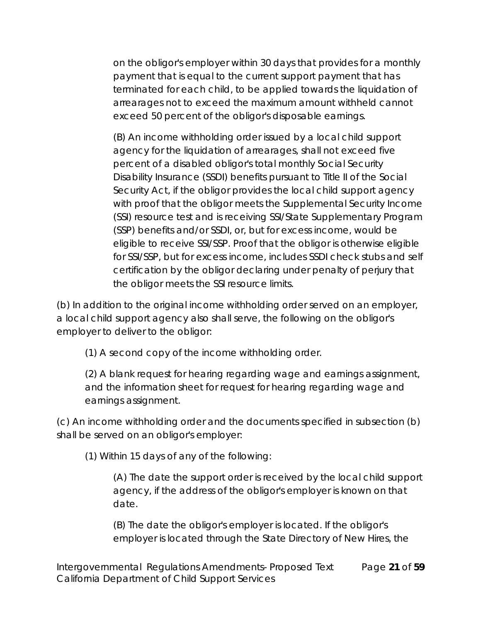on the obligor's employer within 30 days that provides for a monthly payment that is equal to the current support payment that has terminated for each child, to be applied towards the liquidation of arrearages not to exceed the maximum amount withheld cannot exceed 50 percent of the obligor's disposable earnings.

(B) An income withholding order issued by a local child support agency for the liquidation of arrearages, shall not exceed five percent of a disabled obligor's total monthly Social Security Disability Insurance (SSDI) benefits pursuant to Title II of the Social Security Act, if the obligor provides the local child support agency with proof that the obligor meets the Supplemental Security Income (SSI) resource test and is receiving SSI/State Supplementary Program (SSP) benefits and/or SSDI, or, but for excess income, would be eligible to receive SSI/SSP. Proof that the obligor is otherwise eligible for SSI/SSP, but for excess income, includes SSDI check stubs and self certification by the obligor declaring under penalty of perjury that the obligor meets the SSI resource limits.

(b) In addition to the original income withholding order served on an employer, a local child support agency also shall serve, the following on the obligor's employer to deliver to the obligor:

(1) A second copy of the income withholding order.

(2) A blank request for hearing regarding wage and earnings assignment, and the information sheet for request for hearing regarding wage and earnings assignment.

(c) An income withholding order and the documents specified in subsection (b) shall be served on an obligor's employer:

(1) Within 15 days of any of the following:

(A) The date the support order is received by the local child support agency, if the address of the obligor's employer is known on that date.

(B) The date the obligor's employer is located. If the obligor's employer is located through the State Directory of New Hires, the

Intergovernmental Regulations Amendments- Proposed Text Page **21** of **59** California Department of Child Support Services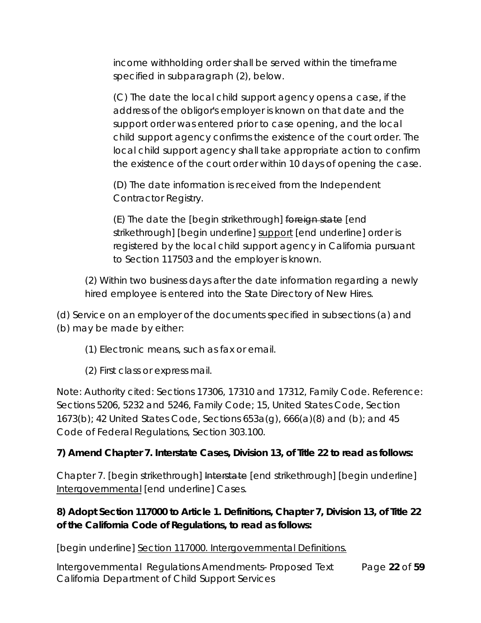income withholding order shall be served within the timeframe specified in subparagraph (2), below.

(C) The date the local child support agency opens a case, if the address of the obligor's employer is known on that date and the support order was entered prior to case opening, and the local child support agency confirms the existence of the court order. The local child support agency shall take appropriate action to confirm the existence of the court order within 10 days of opening the case.

(D) The date information is received from the Independent Contractor Registry.

(E) The date the [begin strikethrough] foreign state [end strikethrough] [begin underline] support [end underline] order is registered by the local child support agency in California pursuant to Section 117503 and the employer is known.

(2) Within two business days after the date information regarding a newly hired employee is entered into the State Directory of New Hires.

(d) Service on an employer of the documents specified in subsections (a) and (b) may be made by either:

- (1) Electronic means, such as fax or email.
- (2) First class or express mail.

Note: Authority cited: Sections 17306, 17310 and 17312, Family Code. Reference: Sections 5206, 5232 and 5246, Family Code; 15, United States Code, Section 1673(b); 42 United States Code, Sections 653a(g), 666(a)(8) and (b); and 45 Code of Federal Regulations, Section 303.100.

**7) Amend Chapter 7. Interstate Cases, Division 13, of Title 22 to read as follows:**

Chapter 7. [begin strikethrough] Interstate [end strikethrough] [begin underline] Intergovernmental [end underline] Cases.

**8) Adopt Section 117000 to Article 1. Definitions, Chapter 7, Division 13, of Title 22 of the California Code of Regulations, to read as follows:**

[begin underline] Section 117000. Intergovernmental Definitions.

Intergovernmental Regulations Amendments- Proposed Text Page **22** of **59** California Department of Child Support Services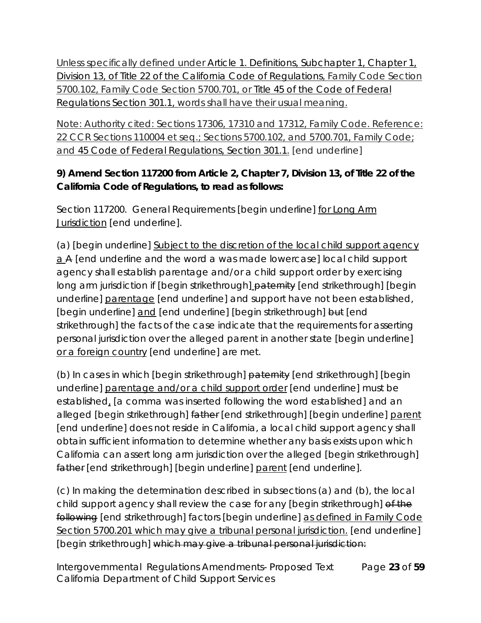Unless specifically defined under Article 1. Definitions, Subchapter 1, Chapter 1, Division 13, of Title 22 of the California Code of Regulations, Family Code Section 5700.102, Family Code Section 5700.701, or Title 45 of the Code of Federal Regulations Section 301.1, words shall have their usual meaning.

Note: Authority cited: Sections 17306, 17310 and 17312, Family Code. Reference: 22 CCR Sections 110004 et seq.; Sections 5700.102, and 5700.701, Family Code; and 45 Code of Federal Regulations, Section 301.1. [end underline]

**9) Amend Section 117200 from Article 2, Chapter 7, Division 13, of Title 22 of the California Code of Regulations, to read as follows:**

Section 117200. General Requirements [begin underline] for Long Arm Jurisdiction [end underline].

(a) [begin underline] Subject to the discretion of the local child support agency a A [end underline and the word a was made lowercase] local child support agency shall establish parentage and/or a child support order by exercising long arm jurisdiction if [begin strikethrough] paternity [end strikethrough] [begin underline] parentage [end underline] and support have not been established, [begin underline] and [end underline] [begin strikethrough] but [end strikethrough] the facts of the case indicate that the requirements for asserting personal jurisdiction over the alleged parent in another state [begin underline] or a foreign country [end underline] are met.

(b) In cases in which [begin strikethrough] paternity [end strikethrough] [begin underline] parentage and/or a child support order [end underline] must be established, [a comma was inserted following the word established] and an alleged [begin strikethrough] father [end strikethrough] [begin underline] parent [end underline] does not reside in California, a local child support agency shall obtain sufficient information to determine whether any basis exists upon which California can assert long arm jurisdiction over the alleged [begin strikethrough] father [end strikethrough] [begin underline] parent [end underline].

(c) In making the determination described in subsections (a) and (b), the local child support agency shall review the case for any [begin strikethrough] of the following [end strikethrough] factors [begin underline] as defined in Family Code Section 5700.201 which may give a tribunal personal jurisdiction. [end underline] [begin strikethrough] which may give a tribunal personal jurisdiction:

Intergovernmental Regulations Amendments- Proposed Text Page **23** of **59** California Department of Child Support Services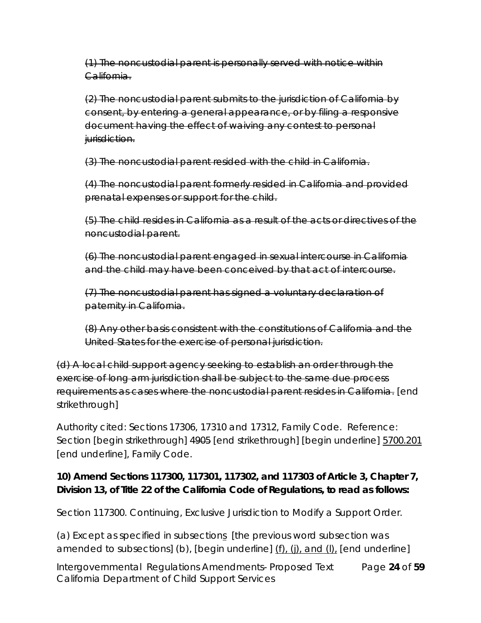(1) The noncustodial parent is personally served with notice within California.

(2) The noncustodial parent submits to the jurisdiction of California by consent, by entering a general appearance, or by filing a responsive document having the effect of waiving any contest to personal jurisdiction.

(3) The noncustodial parent resided with the child in California.

(4) The noncustodial parent formerly resided in California and provided prenatal expenses or support for the child.

(5) The child resides in California as a result of the acts or directives of the noncustodial parent.

(6) The noncustodial parent engaged in sexual intercourse in California and the child may have been conceived by that act of intercourse.

(7) The noncustodial parent has signed a voluntary declaration of paternity in California.

(8) Any other basis consistent with the constitutions of California and the United States for the exercise of personal jurisdiction.

(d) A local child support agency seeking to establish an order through the exercise of long arm jurisdiction shall be subject to the same due process requirements as cases where the noncustodial parent resides in California. [end strikethrough]

Authority cited: Sections 17306, 17310 and 17312, Family Code. Reference: Section [begin strikethrough] 4905 [end strikethrough] [begin underline] 5700.201 [end underline], Family Code.

**10) Amend Sections 117300, 117301, 117302, and 117303 of Article 3, Chapter 7, Division 13, of Title 22 of the California Code of Regulations, to read as follows:**

Section 117300. Continuing, Exclusive Jurisdiction to Modify a Support Order.

(a) Except as specified in subsections [the previous word subsection was amended to subsections] (b), [begin underline] (f), (j), and (l), [end underline]

Intergovernmental Regulations Amendments- Proposed Text Page **24** of **59** California Department of Child Support Services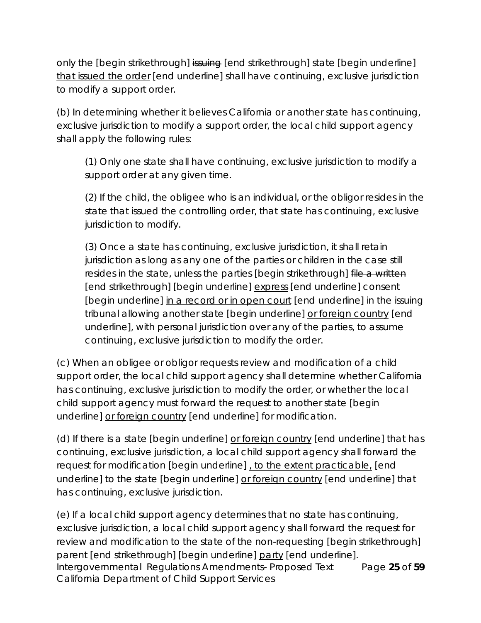only the [begin strikethrough] issuing [end strikethrough] state [begin underline] that issued the order [end underline] shall have continuing, exclusive jurisdiction to modify a support order.

(b) In determining whether it believes California or another state has continuing, exclusive jurisdiction to modify a support order, the local child support agency shall apply the following rules:

(1) Only one state shall have continuing, exclusive jurisdiction to modify a support order at any given time.

(2) If the child, the obligee who is an individual, or the obligor resides in the state that issued the controlling order, that state has continuing, exclusive jurisdiction to modify.

(3) Once a state has continuing, exclusive jurisdiction, it shall retain jurisdiction as long as any one of the parties or children in the case still resides in the state, unless the parties [begin strikethrough] file a written [end strikethrough] [begin underline] express [end underline] consent [begin underline] in a record or in open court [end underline] in the issuing tribunal allowing another state [begin underline] or foreign country [end underline], with personal jurisdiction over any of the parties, to assume continuing, exclusive jurisdiction to modify the order.

(c) When an obligee or obligor requests review and modification of a child support order, the local child support agency shall determine whether California has continuing, exclusive jurisdiction to modify the order, or whether the local child support agency must forward the request to another state [begin underline] or foreign country [end underline] for modification.

(d) If there is a state [begin underline] or foreign country [end underline] that has continuing, exclusive jurisdiction, a local child support agency shall forward the request for modification [begin underline] , to the extent practicable, [end underline] to the state [begin underline] or foreign country [end underline] that has continuing, exclusive jurisdiction.

Intergovernmental Regulations Amendments- Proposed Text Page **25** of **59** California Department of Child Support Services (e) If a local child support agency determines that no state has continuing, exclusive jurisdiction, a local child support agency shall forward the request for review and modification to the state of the non-requesting [begin strikethrough] parent [end strikethrough] [begin underline] party [end underline].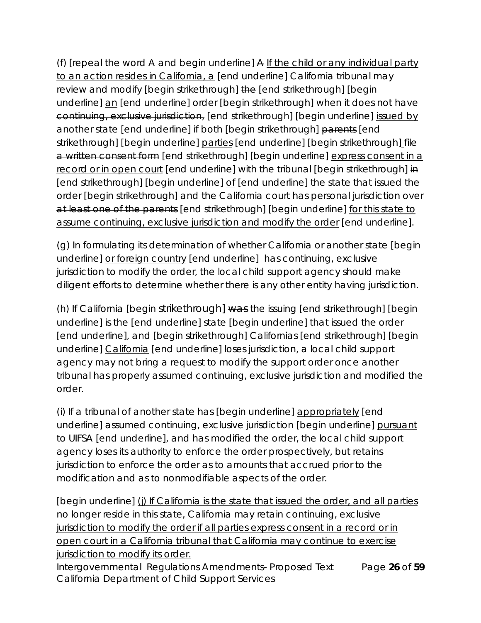(f) [repeal the word A and begin underline] A If the child or any individual party to an action resides in California, a [end underline] California tribunal may review and modify [begin strikethrough] the [end strikethrough] [begin underline] an [end underline] order [begin strikethrough] when it does not have continuing, exclusive jurisdiction, [end strikethrough] [begin underline] issued by another state [end underline] if both [begin strikethrough] parents [end strikethrough] [begin underline] parties [end underline] [begin strikethrough] file a written consent form [end strikethrough] [begin underline] express consent in a record or in open court [end underline] with the tribunal [begin strikethrough] in [end strikethrough] [begin underline] of [end underline] the state that issued the order [begin strikethrough] and the California court has personal jurisdiction over at least one of the parents [end strikethrough] [begin underline] for this state to assume continuing, exclusive jurisdiction and modify the order [end underline].

(g) In formulating its determination of whether California or another state [begin underline] or foreign country [end underline] has continuing, exclusive jurisdiction to modify the order, the local child support agency should make diligent efforts to determine whether there is any other entity having jurisdiction.

(h) If California [begin strikethrough] was the issuing [end strikethrough] [begin underline] is the [end underline] state [begin underline] that issued the order [end underline], and [begin strikethrough] Californias [end strikethrough] [begin underline] California [end underline] loses jurisdiction, a local child support agency may not bring a request to modify the support order once another tribunal has properly assumed continuing, exclusive jurisdiction and modified the order.

(i) If a tribunal of another state has [begin underline] appropriately [end underline] assumed continuing, exclusive jurisdiction [begin underline] pursuant to UIFSA [end underline], and has modified the order, the local child support agency loses its authority to enforce the order prospectively, but retains jurisdiction to enforce the order as to amounts that accrued prior to the modification and as to nonmodifiable aspects of the order.

[begin underline] (j) If California is the state that issued the order, and all parties no longer reside in this state, California may retain continuing, exclusive jurisdiction to modify the order if all parties express consent in a record or in open court in a California tribunal that California may continue to exercise jurisdiction to modify its order.

Intergovernmental Regulations Amendments- Proposed Text Page **26** of **59** California Department of Child Support Services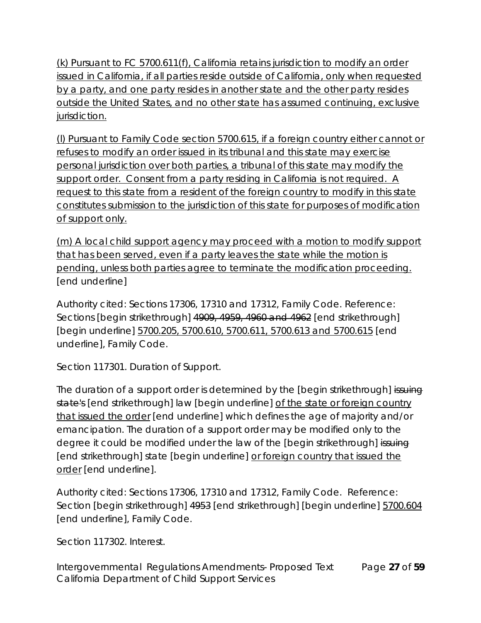(k) Pursuant to FC 5700.611(f), California retains jurisdiction to modify an order issued in California, if all parties reside outside of California, only when requested by a party, and one party resides in another state and the other party resides outside the United States, and no other state has assumed continuing, exclusive jurisdiction.

(l) Pursuant to Family Code section 5700.615, if a foreign country either cannot or refuses to modify an order issued in its tribunal and this state may exercise personal jurisdiction over both parties, a tribunal of this state may modify the support order. Consent from a party residing in California is not required. A request to this state from a resident of the foreign country to modify in this state constitutes submission to the jurisdiction of this state for purposes of modification of support only.

(m) A local child support agency may proceed with a motion to modify support that has been served, even if a party leaves the state while the motion is pending, unless both parties agree to terminate the modification proceeding. [end underline]

Authority cited: Sections 17306, 17310 and 17312, Family Code. Reference: Sections [begin strikethrough] 4909, 4959, 4960 and 4962 [end strikethrough] [begin underline] 5700.205, 5700.610, 5700.611, 5700.613 and 5700.615 [end underline], Family Code.

Section 117301. Duration of Support.

The duration of a support order is determined by the [begin strikethrough] issuing state's [end strikethrough] law [begin underline] of the state or foreign country that issued the order [end underline] which defines the age of majority and/or emancipation. The duration of a support order may be modified only to the degree it could be modified under the law of the [begin strikethrough] issuing [end strikethrough] state [begin underline] or foreign country that issued the order [end underline].

Authority cited: Sections 17306, 17310 and 17312, Family Code. Reference: Section [begin strikethrough] 4953 [end strikethrough] [begin underline] 5700.604 [end underline], Family Code.

Section 117302. Interest.

Intergovernmental Regulations Amendments- Proposed Text Page **27** of **59** California Department of Child Support Services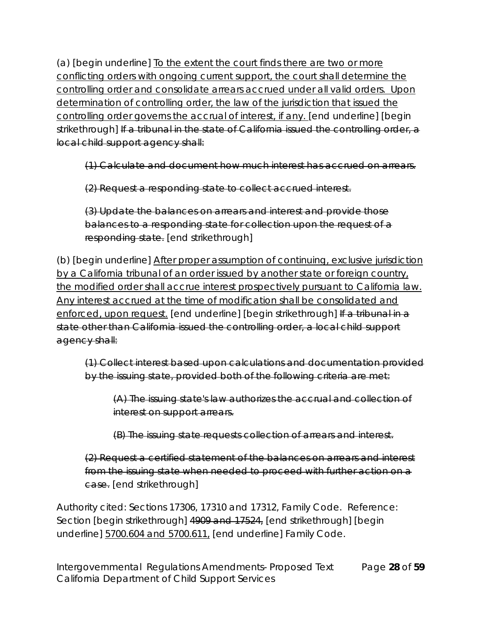(a) [begin underline] To the extent the court finds there are two or more conflicting orders with ongoing current support, the court shall determine the controlling order and consolidate arrears accrued under all valid orders. Upon determination of controlling order, the law of the jurisdiction that issued the controlling order governs the accrual of interest, if any. [end underline] [begin strikethrough] If a tribunal in the state of California issued the controlling order, a local child support agency shall:

(1) Calculate and document how much interest has accrued on arrears.

(2) Request a responding state to collect accrued interest.

(3) Update the balances on arrears and interest and provide those balances to a responding state for collection upon the request of a responding state. [end strikethrough]

(b) [begin underline] After proper assumption of continuing, exclusive jurisdiction by a California tribunal of an order issued by another state or foreign country, the modified order shall accrue interest prospectively pursuant to California law. Any interest accrued at the time of modification shall be consolidated and enforced, upon request. [end underline] [begin strikethrough] If a tribunal in a state other than California issued the controlling order, a local child support agency shall:

(1) Collect interest based upon calculations and documentation provided by the issuing state, provided both of the following criteria are met:

(A) The issuing state's law authorizes the accrual and collection of interest on support arrears.

(B) The issuing state requests collection of arrears and interest.

(2) Request a certified statement of the balances on arrears and interest from the issuing state when needed to proceed with further action on a case. [end strikethrough]

Authority cited: Sections 17306, 17310 and 17312, Family Code. Reference: Section [begin strikethrough] 4909 and 17524, [end strikethrough] [begin underline] 5700.604 and 5700.611, [end underline] Family Code.

Intergovernmental Regulations Amendments- Proposed Text Page **28** of **59** California Department of Child Support Services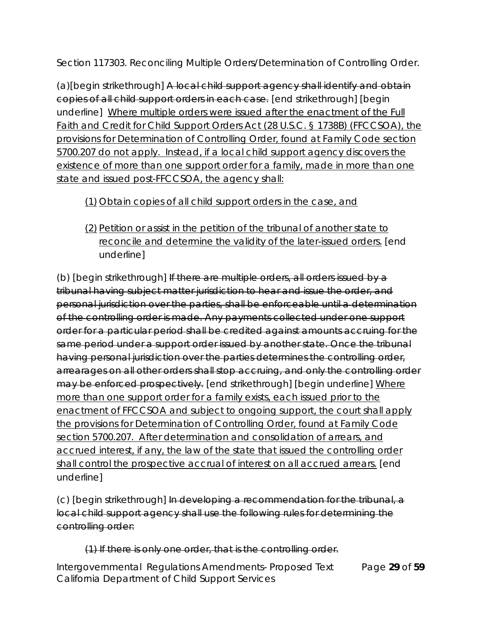Section 117303. Reconciling Multiple Orders/Determination of Controlling Order.

(a)[begin strikethrough] A local child support agency shall identify and obtain copies of all child support orders in each case. [end strikethrough] [begin underline] Where multiple orders were issued after the enactment of the Full Faith and Credit for Child Support Orders Act (28 U.S.C. § 1738B) (FFCCSOA), the provisions for Determination of Controlling Order, found at Family Code section 5700.207 do not apply. Instead, if a local child support agency discovers the existence of more than one support order for a family, made in more than one state and issued post-FFCCSOA, the agency shall:

# (1) Obtain copies of all child support orders in the case, and

(2) Petition or assist in the petition of the tribunal of another state to reconcile and determine the validity of the later-issued orders. [end underline]

(b) [begin strikethrough] If there are multiple orders, all orders issued by a tribunal having subject matter jurisdiction to hear and issue the order, and personal jurisdiction over the parties, shall be enforceable until a determination of the controlling order is made. Any payments collected under one support order for a particular period shall be credited against amounts accruing for the same period under a support order issued by another state. Once the tribunal having personal jurisdiction over the parties determines the controlling order, arrearages on all other orders shall stop accruing, and only the controlling order may be enforced prospectively. [end strikethrough] [begin underline] Where more than one support order for a family exists, each issued prior to the enactment of FFCCSOA and subject to ongoing support, the court shall apply the provisions for Determination of Controlling Order, found at Family Code section 5700.207. After determination and consolidation of arrears, and accrued interest, if any, the law of the state that issued the controlling order shall control the prospective accrual of interest on all accrued arrears. [end underline]

(c) [begin strikethrough] In developing a recommendation for the tribunal, a local child support agency shall use the following rules for determining the controlling order:

## (1) If there is only one order, that is the controlling order.

Intergovernmental Regulations Amendments- Proposed Text Page **29** of **59** California Department of Child Support Services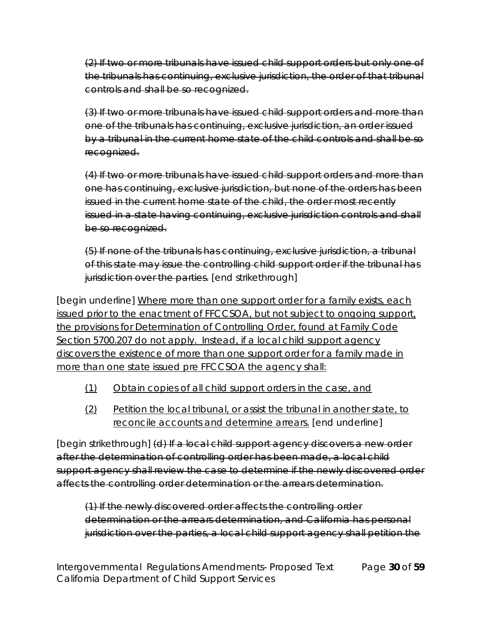(2) If two or more tribunals have issued child support orders but only one of the tribunals has continuing, exclusive jurisdiction, the order of that tribunal controls and shall be so recognized.

(3) If two or more tribunals have issued child support orders and more than one of the tribunals has continuing, exclusive jurisdiction, an order issued by a tribunal in the current home state of the child controls and shall be so recognized.

(4) If two or more tribunals have issued child support orders and more than one has continuing, exclusive jurisdiction, but none of the orders has been issued in the current home state of the child, the order most recently issued in a state having continuing, exclusive jurisdiction controls and shall be so recognized.

(5) If none of the tribunals has continuing, exclusive jurisdiction, a tribunal of this state may issue the controlling child support order if the tribunal has jurisdiction over the parties. [end strikethrough]

[begin underline] Where more than one support order for a family exists, each issued prior to the enactment of FFCCSOA, but not subject to ongoing support, the provisions for Determination of Controlling Order, found at Family Code Section 5700.207 do not apply. Instead, if a local child support agency discovers the existence of more than one support order for a family made in more than one state issued pre FFCCSOA the agency shall:

- (1) Obtain copies of all child support orders in the case, and
- (2) Petition the local tribunal, or assist the tribunal in another state, to reconcile accounts and determine arrears. [end underline]

[begin strikethrough] (d) If a local child support agency discovers a new order after the determination of controlling order has been made, a local child support agency shall review the case to determine if the newly discovered order affects the controlling order determination or the arrears determination.

(1) If the newly discovered order affects the controlling order determination or the arrears determination, and California has personal jurisdiction over the parties, a local child support agency shall petition the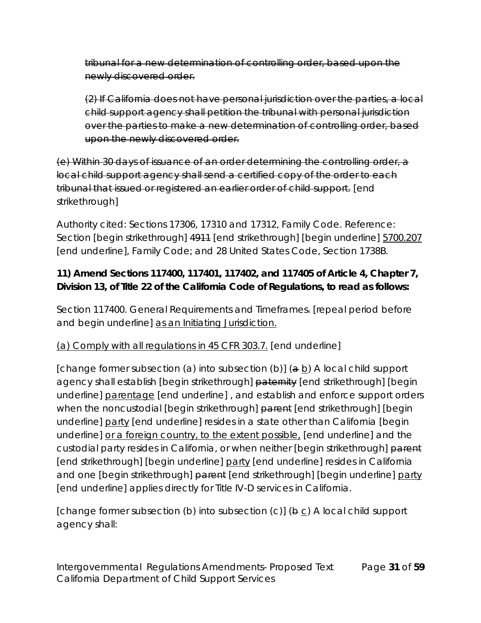tribunal for a new determination of controlling order, based upon the newly discovered order.

(2) If California does not have personal jurisdiction over the parties, a local child support agency shall petition the tribunal with personal jurisdiction over the parties to make a new determination of controlling order, based upon the newly discovered order.

(e) Within 30 days of issuance of an order determining the controlling order, a local child support agency shall send a certified copy of the order to each tribunal that issued or registered an earlier order of child support. [end strikethrough]

Authority cited: Sections 17306, 17310 and 17312, Family Code. Reference: Section [begin strikethrough] 4911 [end strikethrough] [begin underline] 5700.207 [end underline], Family Code; and 28 United States Code, Section 1738B.

**11) Amend Sections 117400, 117401, 117402, and 117405 of Article 4, Chapter 7, Division 13, of Title 22 of the California Code of Regulations, to read as follows:**

Section 117400. General Requirements and Timeframes. [repeal period before and begin underline] as an Initiating Jurisdiction.

## (a) Comply with all regulations in 45 CFR 303.7. [end underline]

[change former subsection (a) into subsection (b)]  $(a b)$  A local child support agency shall establish [begin strikethrough] paternity [end strikethrough] [begin underline] parentage [end underline] , and establish and enforce support orders when the noncustodial [begin strikethrough] parent [end strikethrough] [begin underline] party [end underline] resides in a state other than California [begin underline] or a foreign country, to the extent possible, [end underline] and the custodial party resides in California, or when neither [begin strikethrough] parent [end strikethrough] [begin underline] party [end underline] resides in California and one [begin strikethrough] parent [end strikethrough] [begin underline] party [end underline] applies directly for Title IV-D services in California.

[change former subsection (b) into subsection (c)]  $(\theta \circ c)$  A local child support agency shall:

Intergovernmental Regulations Amendments- Proposed Text Page **31** of **59** California Department of Child Support Services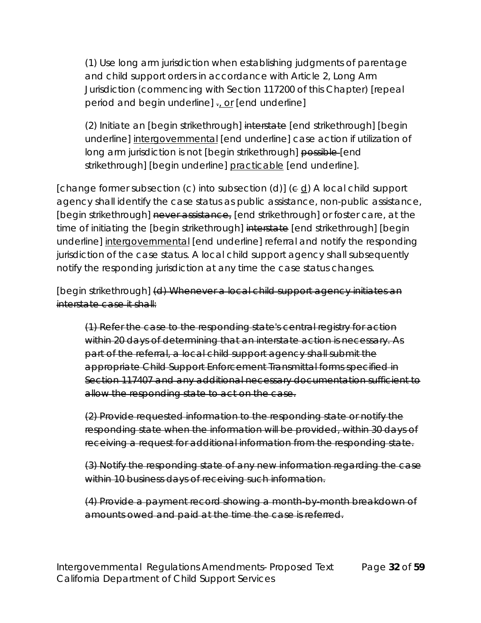(1) Use long arm jurisdiction when establishing judgments of parentage and child support orders in accordance with Article 2, Long Arm Jurisdiction (commencing with Section 117200 of this Chapter) [repeal period and begin underline]  $\frac{1}{2}$  or [end underline]

(2) Initiate an [begin strikethrough] interstate [end strikethrough] [begin underline] intergovernmental [end underline] case action if utilization of long arm jurisdiction is not [begin strikethrough] possible [end strikethrough] [begin underline] practicable [end underline].

[change former subsection (c) into subsection (d)]  $(\in \underline{d})$  A local child support agency shall identify the case status as public assistance, non-public assistance, [begin strikethrough] never assistance, [end strikethrough] or foster care, at the time of initiating the [begin strikethrough] interstate [end strikethrough] [begin underline] intergovernmental [end underline] referral and notify the responding jurisdiction of the case status. A local child support agency shall subsequently notify the responding jurisdiction at any time the case status changes.

[begin strikethrough] (d) Whenever a local child support agency initiates an interstate case it shall:

(1) Refer the case to the responding state's central registry for action within 20 days of determining that an interstate action is necessary. As part of the referral, a local child support agency shall submit the appropriate Child Support Enforcement Transmittal forms specified in Section 117407 and any additional necessary documentation sufficient to allow the responding state to act on the case.

(2) Provide requested information to the responding state or notify the responding state when the information will be provided, within 30 days of receiving a request for additional information from the responding state.

(3) Notify the responding state of any new information regarding the case within 10 business days of receiving such information.

(4) Provide a payment record showing a month-by-month breakdown of amounts owed and paid at the time the case is referred.

Intergovernmental Regulations Amendments- Proposed Text Page **32** of **59** California Department of Child Support Services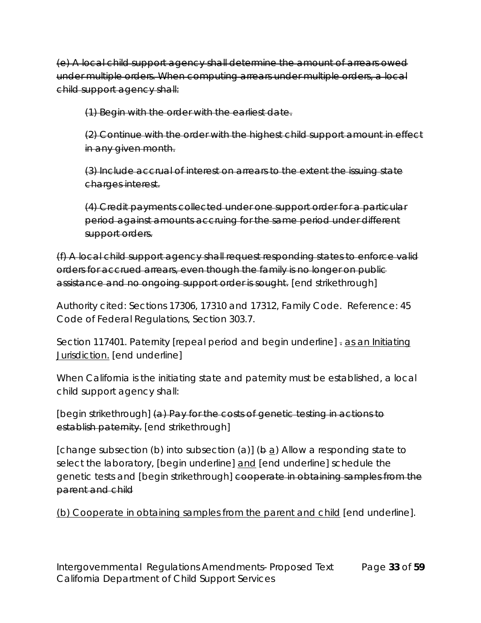(e) A local child support agency shall determine the amount of arrears owed under multiple orders. When computing arrears under multiple orders, a local child support agency shall:

(1) Begin with the order with the earliest date.

(2) Continue with the order with the highest child support amount in effect in any given month.

(3) Include accrual of interest on arrears to the extent the issuing state charges interest.

(4) Credit payments collected under one support order for a particular period against amounts accruing for the same period under different support orders.

(f) A local child support agency shall request responding states to enforce valid orders for accrued arrears, even though the family is no longer on public assistance and no ongoing support order is sought. [end strikethrough]

Authority cited: Sections 17306, 17310 and 17312, Family Code. Reference: 45 Code of Federal Regulations, Section 303.7.

Section 117401. Paternity [repeal period and begin underline] - as an Initiating Jurisdiction. [end underline]

When California is the initiating state and paternity must be established, a local child support agency shall:

[begin strikethrough] (a) Pay for the costs of genetic testing in actions to establish paternity. [end strikethrough]

[change subsection (b) into subsection (a)]  $(\frac{b}{d})$  Allow a responding state to select the laboratory, [begin underline] and [end underline] schedule the genetic tests and [begin strikethrough] cooperate in obtaining samples from the parent and child

(b) Cooperate in obtaining samples from the parent and child [end underline].

Intergovernmental Regulations Amendments- Proposed Text Page **33** of **59** California Department of Child Support Services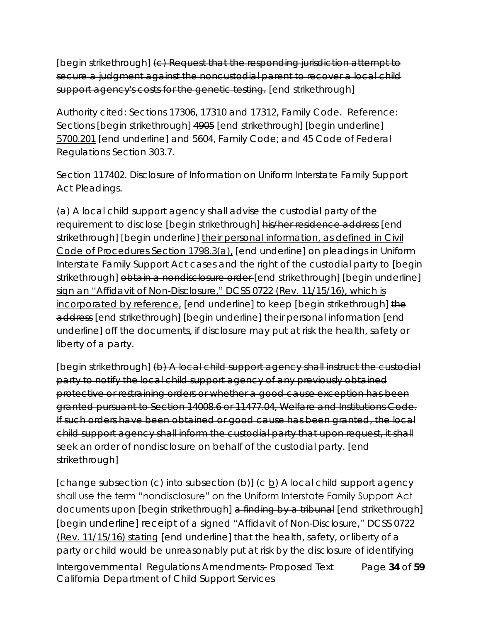[begin strikethrough] (c) Request that the responding jurisdiction attempt to secure a judgment against the noncustodial parent to recover a local child support agency's costs for the genetic testing. [end strikethrough]

Authority cited: Sections 17306, 17310 and 17312, Family Code. Reference: Sections [begin strikethrough] 4905 [end strikethrough] [begin underline] 5700.201 [end underline] and 5604, Family Code; and 45 Code of Federal Regulations Section 303.7.

Section 117402. Disclosure of Information on Uniform Interstate Family Support Act Pleadings.

(a) A local child support agency shall advise the custodial party of the requirement to disclose [begin strikethrough] his/her residence address [end strikethrough] [begin underline] their personal information, as defined in Civil Code of Procedures Section 1798.3(a), [end underline] on pleadings in Uniform Interstate Family Support Act cases and the right of the custodial party to [begin strikethrough] obtain a nondisclosure order [end strikethrough] [begin underline] sign an "Affidavit of Non-Disclosure," DCSS 0722 (Rev. 11/15/16), which is incorporated by reference, [end underline] to keep [begin strikethrough] the address [end strikethrough] [begin underline] their personal information [end underline] off the documents, if disclosure may put at risk the health, safety or liberty of a party.

[begin strikethrough] (b) A local child support agency shall instruct the custodial party to notify the local child support agency of any previously obtained protective or restraining orders or whether a good cause exception has been granted pursuant to Section 14008.6 or 11477.04, Welfare and Institutions Code. If such orders have been obtained or good cause has been granted, the local child support agency shall inform the custodial party that upon request, it shall seek an order of nondisclosure on behalf of the custodial party. [end strikethrough]

Intergovernmental Regulations Amendments- Proposed Text Page **34** of **59** California Department of Child Support Services [change subsection (c) into subsection (b)]  $(e b)$  A local child support agency shall use the term "nondisclosure" on the Uniform Interstate Family Support Act documents upon [begin strikethrough] a finding by a tribunal [end strikethrough] [begin underline] receipt of a signed "Affidavit of Non-Disclosure," DCSS 0722 (Rev. 11/15/16) stating [end underline] that the health, safety, or liberty of a party or child would be unreasonably put at risk by the disclosure of identifying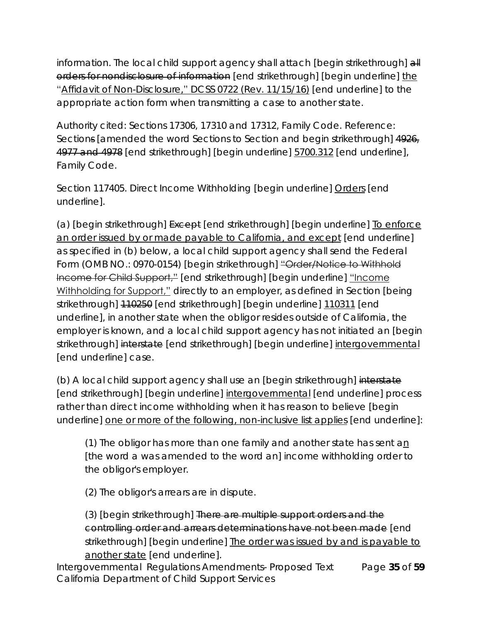information. The local child support agency shall attach [begin strikethrough] all orders for nondisclosure of information [end strikethrough] [begin underline] the "Affidavit of Non-Disclosure," DCSS 0722 (Rev. 11/15/16) [end underline] to the appropriate action form when transmitting a case to another state.

Authority cited: Sections 17306, 17310 and 17312, Family Code. Reference: Sections [amended the word Sections to Section and begin strikethrough] 4926, 4977 and 4978 [end strikethrough] [begin underline] 5700.312 [end underline], Family Code.

Section 117405. Direct Income Withholding [begin underline] Orders [end underline].

(a) [begin strikethrough] Except [end strikethrough] [begin underline] To enforce an order issued by or made payable to California, and except [end underline] as specified in (b) below, a local child support agency shall send the Federal Form (OMB NO.: 0970-0154) [begin strikethrough] "Order/Notice to Withhold Income for Child Support," [end strikethrough] [begin underline] "Income Withholding for Support," directly to an employer, as defined in Section [being] strikethrough] 110250 [end strikethrough] [begin underline] 110311 [end underline], in another state when the obligor resides outside of California, the employer is known, and a local child support agency has not initiated an [begin strikethrough] interstate [end strikethrough] [begin underline] intergovernmental [end underline] case.

(b) A local child support agency shall use an [begin strikethrough] interstate [end strikethrough] [begin underline] intergovernmental [end underline] process rather than direct income withholding when it has reason to believe [begin underline] one or more of the following, non-inclusive list applies [end underline]:

(1) The obligor has more than one family and another state has sent an [the word a was amended to the word an] income withholding order to the obligor's employer.

(2) The obligor's arrears are in dispute.

(3) [begin strikethrough] There are multiple support orders and the controlling order and arrears determinations have not been made [end strikethrough] [begin underline] The order was issued by and is payable to another state [end underline].

Intergovernmental Regulations Amendments- Proposed Text Page **35** of **59** California Department of Child Support Services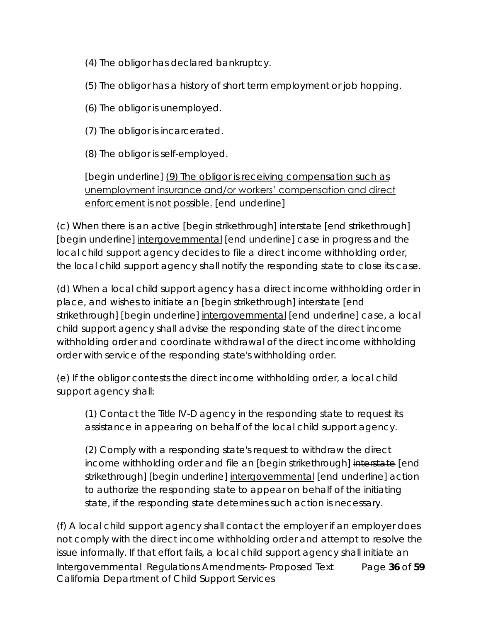- (4) The obligor has declared bankruptcy.
- (5) The obligor has a history of short term employment or job hopping.
- (6) The obligor is unemployed.
- (7) The obligor is incarcerated.
- (8) The obligor is self-employed.

## [begin underline] (9) The obligor is receiving compensation such as unemployment insurance and/or workers' compensation and direct enforcement is not possible. [end underline]

(c) When there is an active [begin strikethrough] interstate [end strikethrough] [begin underline] intergovernmental [end underline] case in progress and the local child support agency decides to file a direct income withholding order, the local child support agency shall notify the responding state to close its case.

(d) When a local child support agency has a direct income withholding order in place, and wishes to initiate an [begin strikethrough] interstate [end strikethrough] [begin underline] intergovernmental [end underline] case, a local child support agency shall advise the responding state of the direct income withholding order and coordinate withdrawal of the direct income withholding order with service of the responding state's withholding order.

(e) If the obligor contests the direct income withholding order, a local child support agency shall:

(1) Contact the Title IV-D agency in the responding state to request its assistance in appearing on behalf of the local child support agency.

(2) Comply with a responding state's request to withdraw the direct income withholding order and file an [begin strikethrough] interstate [end strikethrough] [begin underline] intergovernmental [end underline] action to authorize the responding state to appear on behalf of the initiating state, if the responding state determines such action is necessary.

Intergovernmental Regulations Amendments- Proposed Text Page **36** of **59** California Department of Child Support Services (f) A local child support agency shall contact the employer if an employer does not comply with the direct income withholding order and attempt to resolve the issue informally. If that effort fails, a local child support agency shall initiate an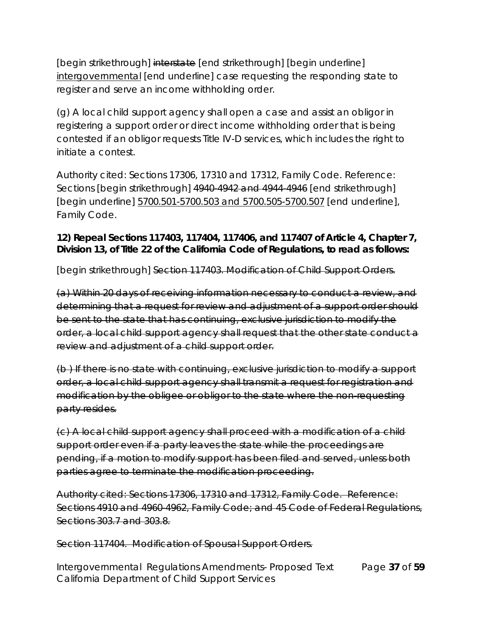[begin strikethrough] interstate [end strikethrough] [begin underline] intergovernmental [end underline] case requesting the responding state to register and serve an income withholding order.

(g) A local child support agency shall open a case and assist an obligor in registering a support order or direct income withholding order that is being contested if an obligor requests Title IV-D services, which includes the right to initiate a contest.

Authority cited: Sections 17306, 17310 and 17312, Family Code. Reference: Sections [begin strikethrough] 4940-4942 and 4944-4946 [end strikethrough] [begin underline] 5700.501-5700.503 and 5700.505-5700.507 [end underline], Family Code.

**12) Repeal Sections 117403, 117404, 117406, and 117407 of Article 4, Chapter 7, Division 13, of Title 22 of the California Code of Regulations, to read as follows:**

[begin strikethrough] Section 117403. Modification of Child Support Orders.

(a) Within 20 days of receiving information necessary to conduct a review, and determining that a request for review and adjustment of a support order should be sent to the state that has continuing, exclusive jurisdiction to modify the order, a local child support agency shall request that the other state conduct a review and adjustment of a child support order.

(b ) If there is no state with continuing, exclusive jurisdiction to modify a support order, a local child support agency shall transmit a request for registration and modification by the obligee or obligor to the state where the non-requesting party resides.

(c) A local child support agency shall proceed with a modification of a child support order even if a party leaves the state while the proceedings are pending, if a motion to modify support has been filed and served, unless both parties agree to terminate the modification proceeding.

Authority cited: Sections 17306, 17310 and 17312, Family Code. Reference: Sections 4910 and 4960-4962, Family Code; and 45 Code of Federal Regulations, Sections 303.7 and 303.8.

Section 117404. Modification of Spousal Support Orders.

Intergovernmental Regulations Amendments- Proposed Text Page **37** of **59** California Department of Child Support Services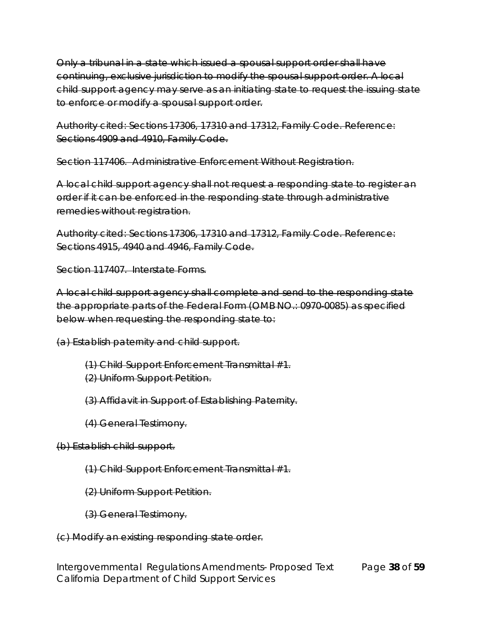Only a tribunal in a state which issued a spousal support order shall have continuing, exclusive jurisdiction to modify the spousal support order. A local child support agency may serve as an initiating state to request the issuing state to enforce or modify a spousal support order.

Authority cited: Sections 17306, 17310 and 17312, Family Code. Reference: Sections 4909 and 4910, Family Code.

Section 117406. Administrative Enforcement Without Registration.

A local child support agency shall not request a responding state to register an order if it can be enforced in the responding state through administrative remedies without registration.

Authority cited: Sections 17306, 17310 and 17312, Family Code. Reference: Sections 4915, 4940 and 4946, Family Code.

Section 117407. Interstate Forms.

A local child support agency shall complete and send to the responding state the appropriate parts of the Federal Form (OMB NO.: 0970-0085) as specified below when requesting the responding state to:

(a) Establish paternity and child support.

(1) Child Support Enforcement Transmittal #1. (2) Uniform Support Petition.

(3) Affidavit in Support of Establishing Paternity.

(4) General Testimony.

(b) Establish child support.

(1) Child Support Enforcement Transmittal #1.

(2) Uniform Support Petition.

(3) General Testimony.

(c) Modify an existing responding state order.

Intergovernmental Regulations Amendments- Proposed Text Page **38** of **59** California Department of Child Support Services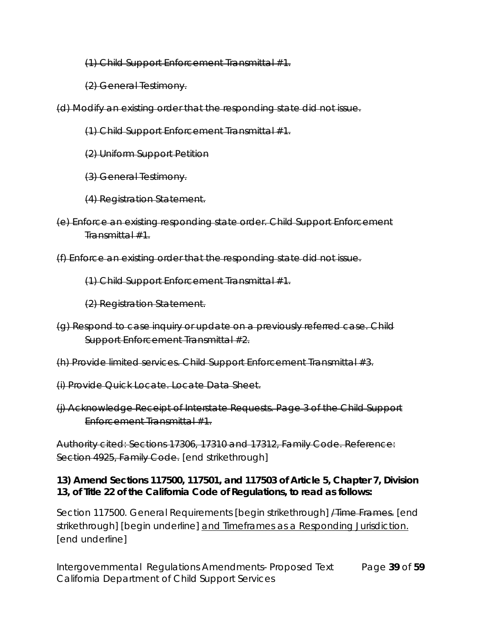(1) Child Support Enforcement Transmittal #1.

(2) General Testimony.

(d) Modify an existing order that the responding state did not issue.

- (1) Child Support Enforcement Transmittal #1.
- (2) Uniform Support Petition
- (3) General Testimony.
- (4) Registration Statement.
- (e) Enforce an existing responding state order. Child Support Enforcement Transmittal #1.
- (f) Enforce an existing order that the responding state did not issue.

(1) Child Support Enforcement Transmittal #1.

(2) Registration Statement.

- (g) Respond to case inquiry or update on a previously referred case. Child Support Enforcement Transmittal #2.
- (h) Provide limited services. Child Support Enforcement Transmittal #3.
- (i) Provide Quick Locate. Locate Data Sheet.
- (j) Acknowledge Receipt of Interstate Requests. Page 3 of the Child Support Enforcement Transmittal #1.

Authority cited: Sections 17306, 17310 and 17312, Family Code. Reference: Section 4925, Family Code. [end strikethrough]

**13) Amend Sections 117500, 117501, and 117503 of Article 5, Chapter 7, Division 13, of Title 22 of the California Code of Regulations, to read as follows:**

Section 117500. General Requirements [begin strikethrough] *A* lime Frames. [end strikethrough] [begin underline] and Timeframes as a Responding Jurisdiction. [end underline]

Intergovernmental Regulations Amendments- Proposed Text Page **39** of **59** California Department of Child Support Services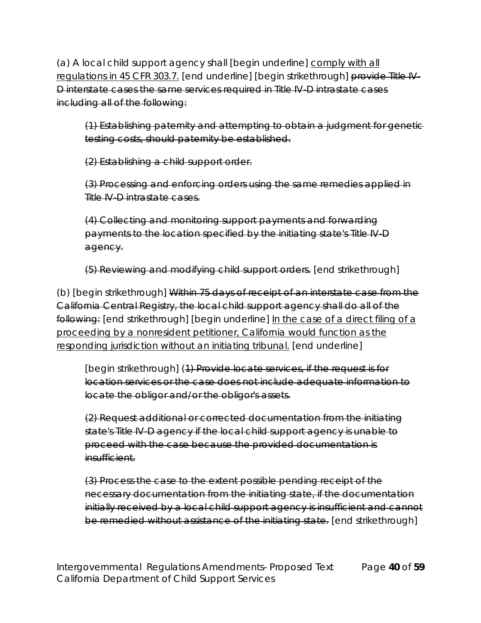(a) A local child support agency shall [begin underline] comply with all regulations in 45 CFR 303.7. [end underline] [begin strikethrough] provide Title IV-D interstate cases the same services required in Title IV-D intrastate cases including all of the following:

(1) Establishing paternity and attempting to obtain a judgment for genetic testing costs, should paternity be established.

(2) Establishing a child support order.

(3) Processing and enforcing orders using the same remedies applied in Title IV-D intrastate cases.

(4) Collecting and monitoring support payments and forwarding payments to the location specified by the initiating state's Title IV-D agency.

(5) Reviewing and modifying child support orders. [end strikethrough]

(b) [begin strikethrough] Within 75 days of receipt of an interstate case from the California Central Registry, the local child support agency shall do all of the following: [end strikethrough] [begin underline] In the case of a direct filing of a proceeding by a nonresident petitioner, California would function as the responding jurisdiction without an initiating tribunal. [end underline]

[begin strikethrough] (1) Provide locate services, if the request is for location services or the case does not include adequate information to locate the obligor and/or the obligor's assets.

(2) Request additional or corrected documentation from the initiating state's Title IV-D agency if the local child support agency is unable to proceed with the case because the provided documentation is insufficient.

(3) Process the case to the extent possible pending receipt of the necessary documentation from the initiating state, if the documentation initially received by a local child support agency is insufficient and cannot be remedied without assistance of the initiating state. [end strikethrough]

Intergovernmental Regulations Amendments- Proposed Text Page **40** of **59** California Department of Child Support Services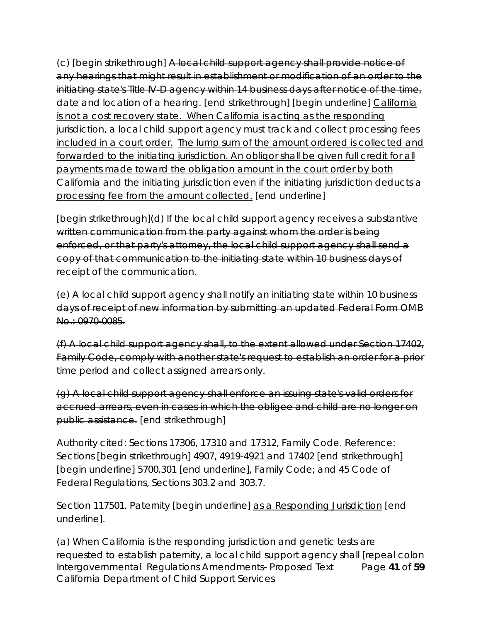(c) [begin strikethrough] A local child support agency shall provide notice of any hearings that might result in establishment or modification of an order to the initiating state's Title IV-D agency within 14 business days after notice of the time, date and location of a hearing. [end strikethrough] [begin underline] California is not a cost recovery state. When California is acting as the responding jurisdiction, a local child support agency must track and collect processing fees included in a court order. The lump sum of the amount ordered is collected and forwarded to the initiating jurisdiction. An obligor shall be given full credit for all payments made toward the obligation amount in the court order by both California and the initiating jurisdiction even if the initiating jurisdiction deducts a processing fee from the amount collected. [end underline]

[begin strikethrough](d) If the local child support agency receives a substantive written communication from the party against whom the order is being enforced, or that party's attorney, the local child support agency shall send a copy of that communication to the initiating state within 10 business days of receipt of the communication.

(e) A local child support agency shall notify an initiating state within 10 business days of receipt of new information by submitting an updated Federal Form OMB No.: 0970-0085.

(f) A local child support agency shall, to the extent allowed under Section 17402, Family Code, comply with another state's request to establish an order for a prior time period and collect assigned arrears only.

(g) A local child support agency shall enforce an issuing state's valid orders for accrued arrears, even in cases in which the obligee and child are no longer on public assistance. [end strikethrough]

Authority cited: Sections 17306, 17310 and 17312, Family Code. Reference: Sections [begin strikethrough] 4907, 4919 4921 and 17402 [end strikethrough] [begin underline] 5700.301 [end underline], Family Code; and 45 Code of Federal Regulations, Sections 303.2 and 303.7.

Section 117501. Paternity [begin underline] as a Responding Jurisdiction [end underline].

Intergovernmental Regulations Amendments- Proposed Text Page **41** of **59** California Department of Child Support Services (a) When California is the responding jurisdiction and genetic tests are requested to establish paternity, a local child support agency shall [repeal colon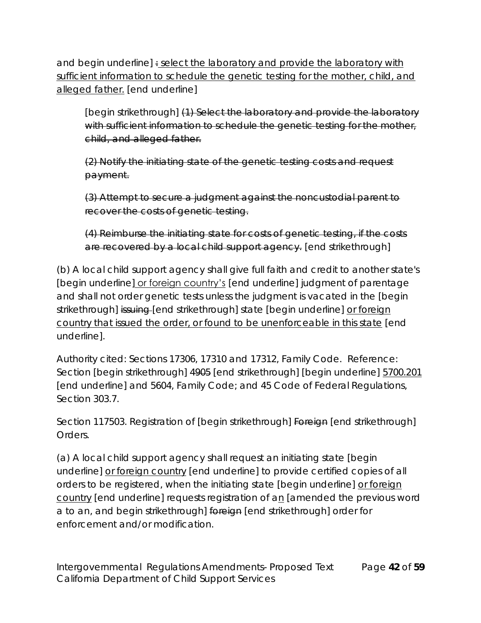and begin underline] : select the laboratory and provide the laboratory with sufficient information to schedule the genetic testing for the mother, child, and alleged father. [end underline]

[begin strikethrough] (1) Select the laboratory and provide the laboratory with sufficient information to schedule the genetic testing for the mother, child, and alleged father.

(2) Notify the initiating state of the genetic testing costs and request payment.

(3) Attempt to secure a judgment against the noncustodial parent to recover the costs of genetic testing.

(4) Reimburse the initiating state for costs of genetic testing, if the costs are recovered by a local child support agency. [end strikethrough]

(b) A local child support agency shall give full faith and credit to another state's [begin underline] or foreign country's [end underline] judgment of parentage and shall not order genetic tests unless the judgment is vacated in the [begin strikethrough] issuing [end strikethrough] state [begin underline] or foreign country that issued the order, or found to be unenforceable in this state [end underline].

Authority cited: Sections 17306, 17310 and 17312, Family Code. Reference: Section [begin strikethrough] 4905 [end strikethrough] [begin underline] 5700.201 [end underline] and 5604, Family Code; and 45 Code of Federal Regulations, Section 303.7.

Section 117503. Registration of [begin strikethrough] Foreign [end strikethrough] Orders.

(a) A local child support agency shall request an initiating state [begin underline] or foreign country [end underline] to provide certified copies of all orders to be registered, when the initiating state [begin underline] or foreign country [end underline] requests registration of an [amended the previous word a to an, and begin strikethrough] foreign [end strikethrough] order for enforcement and/or modification.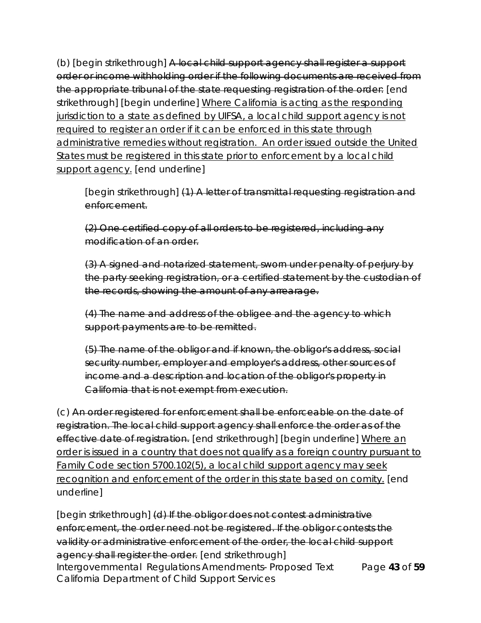(b) [begin strikethrough] A local child support agency shall register a support order or income withholding order if the following documents are received from the appropriate tribunal of the state requesting registration of the order: [end strikethrough] [begin underline] Where California is acting as the responding jurisdiction to a state as defined by UIFSA, a local child support agency is not required to register an order if it can be enforced in this state through administrative remedies without registration. An order issued outside the United States must be registered in this state prior to enforcement by a local child support agency. [end underline]

[begin strikethrough] (1) A letter of transmittal requesting registration and enforcement.

(2) One certified copy of all orders to be registered, including any modification of an order.

(3) A signed and notarized statement, sworn under penalty of perjury by the party seeking registration, or a certified statement by the custodian of the records, showing the amount of any arrearage.

(4) The name and address of the obligee and the agency to which support payments are to be remitted.

(5) The name of the obligor and if known, the obligor's address, social security number, employer and employer's address, other sources of income and a description and location of the obligor's property in California that is not exempt from execution.

(c) An order registered for enforcement shall be enforceable on the date of registration. The local child support agency shall enforce the order as of the effective date of registration. [end strikethrough] [begin underline] Where an order is issued in a country that does not qualify as a foreign country pursuant to Family Code section 5700.102(5), a local child support agency may seek recognition and enforcement of the order in this state based on comity. [end underline]

Intergovernmental Regulations Amendments- Proposed Text Page **43** of **59** California Department of Child Support Services [begin strikethrough] (d) If the obligor does not contest administrative enforcement, the order need not be registered. If the obligor contests the validity or administrative enforcement of the order, the local child support agency shall register the order. [end strikethrough]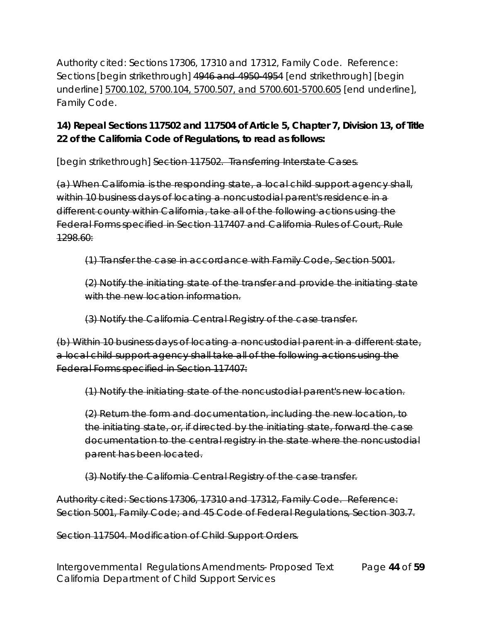Authority cited: Sections 17306, 17310 and 17312, Family Code. Reference: Sections [begin strikethrough] 4946 and 4950-4954 [end strikethrough] [begin underline] 5700.102, 5700.104, 5700.507, and 5700.601-5700.605 [end underline], Family Code.

**14) Repeal Sections 117502 and 117504 of Article 5, Chapter 7, Division 13, of Title 22 of the California Code of Regulations, to read as follows:**

[begin strikethrough] Section 117502. Transferring Interstate Cases.

(a) When California is the responding state, a local child support agency shall, within 10 business days of locating a noncustodial parent's residence in a different county within California, take all of the following actions using the Federal Forms specified in Section 117407 and California Rules of Court, Rule 1298.60:

(1) Transfer the case in accordance with Family Code, Section 5001.

(2) Notify the initiating state of the transfer and provide the initiating state with the new location information.

(3) Notify the California Central Registry of the case transfer.

(b) Within 10 business days of locating a noncustodial parent in a different state, a local child support agency shall take all of the following actions using the Federal Forms specified in Section 117407:

(1) Notify the initiating state of the noncustodial parent's new location.

(2) Return the form and documentation, including the new location, to the initiating state, or, if directed by the initiating state, forward the case documentation to the central registry in the state where the noncustodial parent has been located.

(3) Notify the California Central Registry of the case transfer.

Authority cited: Sections 17306, 17310 and 17312, Family Code. Reference: Section 5001, Family Code; and 45 Code of Federal Regulations, Section 303.7.

Section 117504. Modification of Child Support Orders.

Intergovernmental Regulations Amendments- Proposed Text Page **44** of **59** California Department of Child Support Services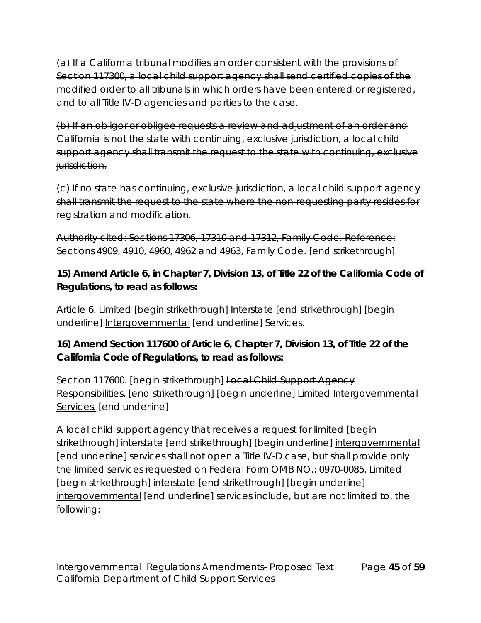(a) If a California tribunal modifies an order consistent with the provisions of Section 117300, a local child support agency shall send certified copies of the modified order to all tribunals in which orders have been entered or registered, and to all Title IV-D agencies and parties to the case.

(b) If an obligor or obligee requests a review and adjustment of an order and California is not the state with continuing, exclusive jurisdiction, a local child support agency shall transmit the request to the state with continuing, exclusive jurisdiction.

(c) If no state has continuing, exclusive jurisdiction, a local child support agency shall transmit the request to the state where the non-requesting party resides for registration and modification.

Authority cited: Sections 17306, 17310 and 17312, Family Code. Reference: Sections 4909, 4910, 4960, 4962 and 4963, Family Code. [end strikethrough]

**15) Amend Article 6, in Chapter 7, Division 13, of Title 22 of the California Code of Regulations, to read as follows:**

Article 6. Limited [begin strikethrough] Interstate [end strikethrough] [begin underline] Intergovernmental [end underline] Services.

**16) Amend Section 117600 of Article 6, Chapter 7, Division 13, of Title 22 of the California Code of Regulations, to read as follows:**

Section 117600. [begin strikethrough] Local Child Support Agency Responsibilities. [end strikethrough] [begin underline] Limited Intergovernmental Services. [end underline]

A local child support agency that receives a request for limited [begin strikethrough] interstate-[end strikethrough] [begin underline] intergovernmental [end underline] services shall not open a Title IV-D case, but shall provide only the limited services requested on Federal Form OMB NO.: 0970-0085. Limited [begin strikethrough] interstate [end strikethrough] [begin underline] intergovernmental [end underline] services include, but are not limited to, the following: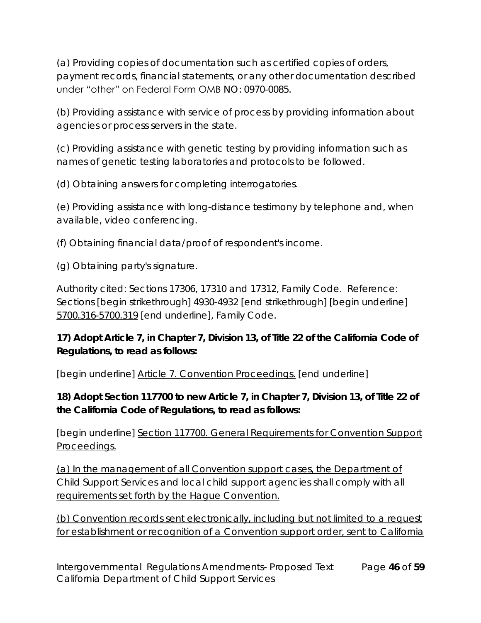(a) Providing copies of documentation such as certified copies of orders, payment records, financial statements, or any other documentation described under "other" on Federal Form OMB NO: 0970-0085.

(b) Providing assistance with service of process by providing information about agencies or process servers in the state.

(c) Providing assistance with genetic testing by providing information such as names of genetic testing laboratories and protocols to be followed.

(d) Obtaining answers for completing interrogatories.

(e) Providing assistance with long-distance testimony by telephone and, when available, video conferencing.

(f) Obtaining financial data/proof of respondent's income.

(g) Obtaining party's signature.

Authority cited: Sections 17306, 17310 and 17312, Family Code. Reference: Sections [begin strikethrough] 4930 4932 [end strikethrough] [begin underline] 5700.316-5700.319 [end underline], Family Code.

**17) Adopt Article 7, in Chapter 7, Division 13, of Title 22 of the California Code of Regulations, to read as follows:**

[begin underline] Article 7. Convention Proceedings. [end underline]

**18) Adopt Section 117700 to new Article 7, in Chapter 7, Division 13, of Title 22 of the California Code of Regulations, to read as follows:**

[begin underline] Section 117700. General Requirements for Convention Support Proceedings.

(a) In the management of all Convention support cases, the Department of Child Support Services and local child support agencies shall comply with all requirements set forth by the Hague Convention.

(b) Convention records sent electronically, including but not limited to a request for establishment or recognition of a Convention support order, sent to California

Intergovernmental Regulations Amendments- Proposed Text Page **46** of **59** California Department of Child Support Services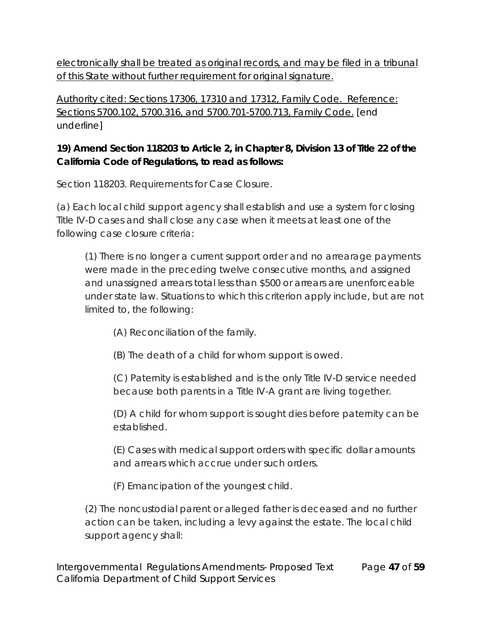electronically shall be treated as original records, and may be filed in a tribunal of this State without further requirement for original signature.

Authority cited: Sections 17306, 17310 and 17312, Family Code. Reference: Sections 5700.102, 5700.316, and 5700.701-5700.713, Family Code. [end underline]

**19) Amend Section 118203 to Article 2, in Chapter 8, Division 13 of Title 22 of the California Code of Regulations, to read as follows:**

Section 118203. Requirements for Case Closure.

(a) Each local child support agency shall establish and use a system for closing Title IV-D cases and shall close any case when it meets at least one of the following case closure criteria:

(1) There is no longer a current support order and no arrearage payments were made in the preceding twelve consecutive months, and assigned and unassigned arrears total less than \$500 or arrears are unenforceable under state law. Situations to which this criterion apply include, but are not limited to, the following:

- (A) Reconciliation of the family.
- (B) The death of a child for whom support is owed.

(C) Paternity is established and is the only Title IV-D service needed because both parents in a Title IV-A grant are living together.

(D) A child for whom support is sought dies before paternity can be established.

(E) Cases with medical support orders with specific dollar amounts and arrears which accrue under such orders.

(F) Emancipation of the youngest child.

(2) The noncustodial parent or alleged father is deceased and no further action can be taken, including a levy against the estate. The local child support agency shall:

Intergovernmental Regulations Amendments- Proposed Text Page **47** of **59** California Department of Child Support Services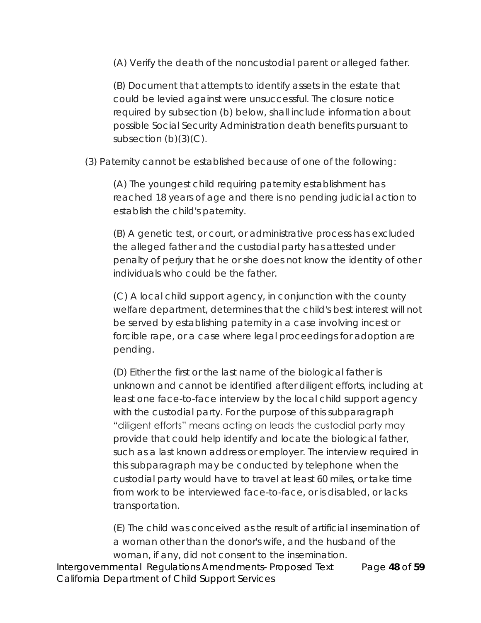(A) Verify the death of the noncustodial parent or alleged father.

(B) Document that attempts to identify assets in the estate that could be levied against were unsuccessful. The closure notice required by subsection (b) below, shall include information about possible Social Security Administration death benefits pursuant to subsection  $(b)(3)(C)$ .

(3) Paternity cannot be established because of one of the following:

(A) The youngest child requiring paternity establishment has reached 18 years of age and there is no pending judicial action to establish the child's paternity.

(B) A genetic test, or court, or administrative process has excluded the alleged father and the custodial party has attested under penalty of perjury that he or she does not know the identity of other individuals who could be the father.

(C) A local child support agency, in conjunction with the county welfare department, determines that the child's best interest will not be served by establishing paternity in a case involving incest or forcible rape, or a case where legal proceedings for adoption are pending.

(D) Either the first or the last name of the biological father is unknown and cannot be identified after diligent efforts, including at least one face-to-face interview by the local child support agency with the custodial party. For the purpose of this subparagraph "diligent efforts" means acting on leads the custodial party may provide that could help identify and locate the biological father, such as a last known address or employer. The interview required in this subparagraph may be conducted by telephone when the custodial party would have to travel at least 60 miles, or take time from work to be interviewed face-to-face, or is disabled, or lacks transportation.

(E) The child was conceived as the result of artificial insemination of a woman other than the donor's wife, and the husband of the woman, if any, did not consent to the insemination.

Intergovernmental Regulations Amendments- Proposed Text Page **48** of **59** California Department of Child Support Services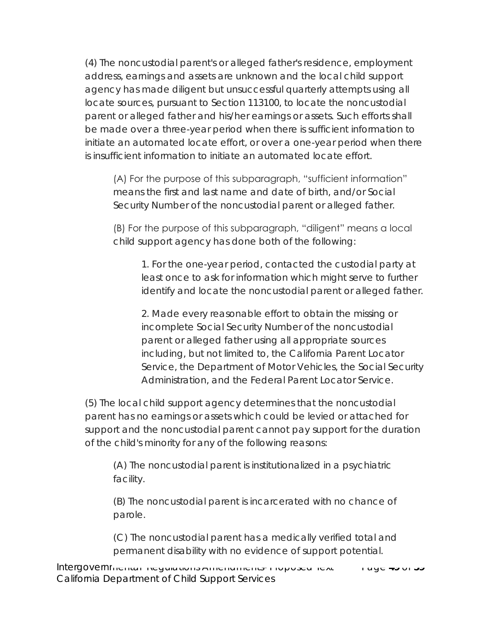(4) The noncustodial parent's or alleged father's residence, employment address, earnings and assets are unknown and the local child support agency has made diligent but unsuccessful quarterly attempts using all locate sources, pursuant to Section 113100, to locate the noncustodial parent or alleged father and his/her earnings or assets. Such efforts shall be made over a three-year period when there is sufficient information to initiate an automated locate effort, or over a one-year period when there is insufficient information to initiate an automated locate effort.

(A) For the purpose of this subparagraph, "sufficient information" means the first and last name and date of birth, and/or Social Security Number of the noncustodial parent or alleged father.

(B) For the purpose of this subparagraph, "diligent" means a local child support agency has done both of the following:

1. For the one-year period, contacted the custodial party at least once to ask for information which might serve to further identify and locate the noncustodial parent or alleged father.

2. Made every reasonable effort to obtain the missing or incomplete Social Security Number of the noncustodial parent or alleged father using all appropriate sources including, but not limited to, the California Parent Locator Service, the Department of Motor Vehicles, the Social Security Administration, and the Federal Parent Locator Service.

(5) The local child support agency determines that the noncustodial parent has no earnings or assets which could be levied or attached for support and the noncustodial parent cannot pay support for the duration of the child's minority for any of the following reasons:

(A) The noncustodial parent is institutionalized in a psychiatric facility.

(B) The noncustodial parent is incarcerated with no chance of parole.

(C) The noncustodial parent has a medically verified total and permanent disability with no evidence of support potential.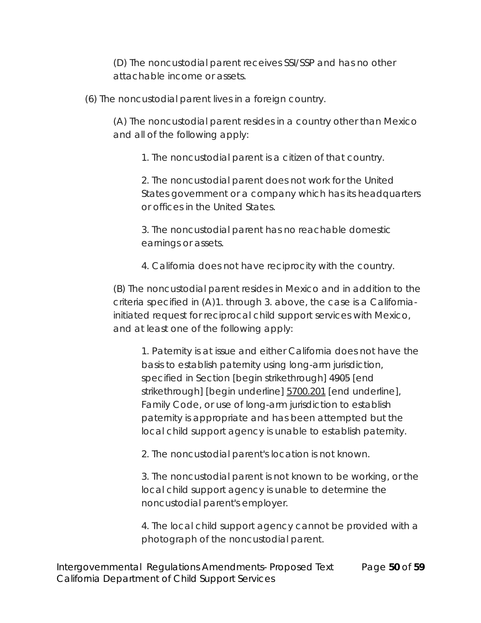(D) The noncustodial parent receives SSI/SSP and has no other attachable income or assets.

(6) The noncustodial parent lives in a foreign country.

(A) The noncustodial parent resides in a country other than Mexico and all of the following apply:

1. The noncustodial parent is a citizen of that country.

2. The noncustodial parent does not work for the United States government or a company which has its headquarters or offices in the United States.

3. The noncustodial parent has no reachable domestic earnings or assets.

4. California does not have reciprocity with the country.

(B) The noncustodial parent resides in Mexico and in addition to the criteria specified in (A)1. through 3. above, the case is a Californiainitiated request for reciprocal child support services with Mexico, and at least one of the following apply:

1. Paternity is at issue and either California does not have the basis to establish paternity using long-arm jurisdiction, specified in Section [begin strikethrough] 4905 [end strikethrough] [begin underline] 5700.201 [end underline], Family Code, or use of long-arm jurisdiction to establish paternity is appropriate and has been attempted but the local child support agency is unable to establish paternity.

2. The noncustodial parent's location is not known.

3. The noncustodial parent is not known to be working, or the local child support agency is unable to determine the noncustodial parent's employer.

4. The local child support agency cannot be provided with a photograph of the noncustodial parent.

Intergovernmental Regulations Amendments- Proposed Text Page **50** of **59** California Department of Child Support Services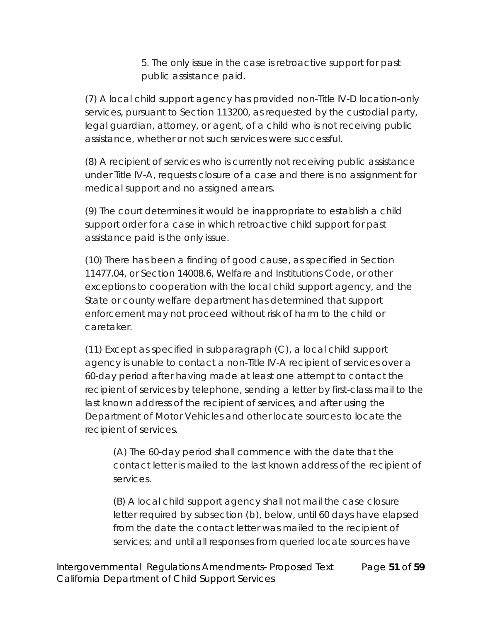5. The only issue in the case is retroactive support for past public assistance paid.

(7) A local child support agency has provided non-Title IV-D location-only services, pursuant to Section 113200, as requested by the custodial party, legal guardian, attorney, or agent, of a child who is not receiving public assistance, whether or not such services were successful.

(8) A recipient of services who is currently not receiving public assistance under Title IV-A, requests closure of a case and there is no assignment for medical support and no assigned arrears.

(9) The court determines it would be inappropriate to establish a child support order for a case in which retroactive child support for past assistance paid is the only issue.

(10) There has been a finding of good cause, as specified in Section 11477.04, or Section 14008.6, Welfare and Institutions Code, or other exceptions to cooperation with the local child support agency, and the State or county welfare department has determined that support enforcement may not proceed without risk of harm to the child or caretaker.

(11) Except as specified in subparagraph (C), a local child support agency is unable to contact a non-Title IV-A recipient of services over a 60-day period after having made at least one attempt to contact the recipient of services by telephone, sending a letter by first-class mail to the last known address of the recipient of services, and after using the Department of Motor Vehicles and other locate sources to locate the recipient of services.

(A) The 60-day period shall commence with the date that the contact letter is mailed to the last known address of the recipient of services.

(B) A local child support agency shall not mail the case closure letter required by subsection (b), below, until 60 days have elapsed from the date the contact letter was mailed to the recipient of services; and until all responses from queried locate sources have

Intergovernmental Regulations Amendments- Proposed Text Page **51** of **59** California Department of Child Support Services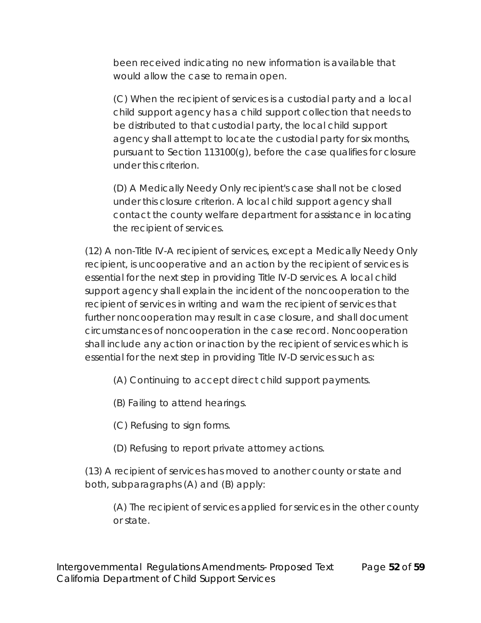been received indicating no new information is available that would allow the case to remain open.

(C) When the recipient of services is a custodial party and a local child support agency has a child support collection that needs to be distributed to that custodial party, the local child support agency shall attempt to locate the custodial party for six months, pursuant to Section 113100(g), before the case qualifies for closure under this criterion.

(D) A Medically Needy Only recipient's case shall not be closed under this closure criterion. A local child support agency shall contact the county welfare department for assistance in locating the recipient of services.

(12) A non-Title IV-A recipient of services, except a Medically Needy Only recipient, is uncooperative and an action by the recipient of services is essential for the next step in providing Title IV-D services. A local child support agency shall explain the incident of the noncooperation to the recipient of services in writing and warn the recipient of services that further noncooperation may result in case closure, and shall document circumstances of noncooperation in the case record. Noncooperation shall include any action or inaction by the recipient of services which is essential for the next step in providing Title IV-D services such as:

(A) Continuing to accept direct child support payments.

(B) Failing to attend hearings.

(C) Refusing to sign forms.

(D) Refusing to report private attorney actions.

(13) A recipient of services has moved to another county or state and both, subparagraphs (A) and (B) apply:

(A) The recipient of services applied for services in the other county or state.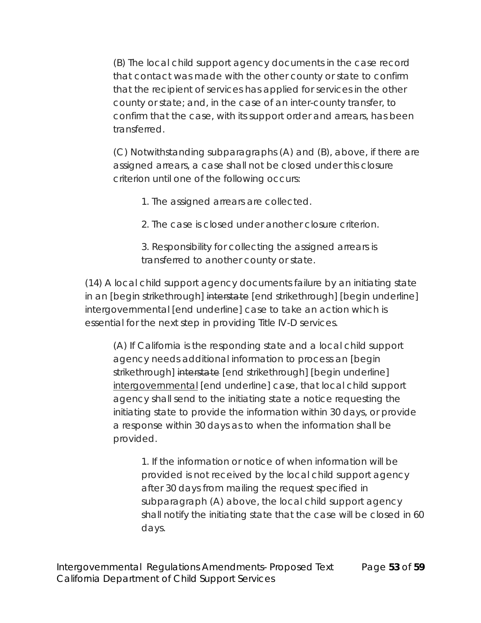(B) The local child support agency documents in the case record that contact was made with the other county or state to confirm that the recipient of services has applied for services in the other county or state; and, in the case of an inter-county transfer, to confirm that the case, with its support order and arrears, has been transferred.

(C) Notwithstanding subparagraphs (A) and (B), above, if there are assigned arrears, a case shall not be closed under this closure criterion until one of the following occurs:

1. The assigned arrears are collected.

2. The case is closed under another closure criterion.

3. Responsibility for collecting the assigned arrears is transferred to another county or state.

(14) A local child support agency documents failure by an initiating state in an [begin strikethrough] interstate [end strikethrough] [begin underline] intergovernmental [end underline] case to take an action which is essential for the next step in providing Title IV-D services.

(A) If California is the responding state and a local child support agency needs additional information to process an [begin strikethrough] interstate [end strikethrough] [begin underline] intergovernmental [end underline] case, that local child support agency shall send to the initiating state a notice requesting the initiating state to provide the information within 30 days, or provide a response within 30 days as to when the information shall be provided.

1. If the information or notice of when information will be provided is not received by the local child support agency after 30 days from mailing the request specified in subparagraph (A) above, the local child support agency shall notify the initiating state that the case will be closed in 60 days.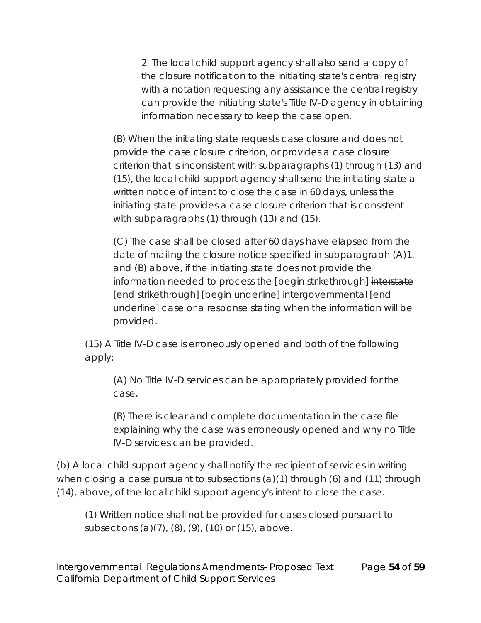2. The local child support agency shall also send a copy of the closure notification to the initiating state's central registry with a notation requesting any assistance the central registry can provide the initiating state's Title IV-D agency in obtaining information necessary to keep the case open.

(B) When the initiating state requests case closure and does not provide the case closure criterion, or provides a case closure criterion that is inconsistent with subparagraphs (1) through (13) and (15), the local child support agency shall send the initiating state a written notice of intent to close the case in 60 days, unless the initiating state provides a case closure criterion that is consistent with subparagraphs (1) through (13) and (15).

(C) The case shall be closed after 60 days have elapsed from the date of mailing the closure notice specified in subparagraph (A)1. and (B) above, if the initiating state does not provide the information needed to process the [begin strikethrough] interstate [end strikethrough] [begin underline] intergovernmental [end underline] case or a response stating when the information will be provided.

(15) A Title IV-D case is erroneously opened and both of the following apply:

(A) No Title IV-D services can be appropriately provided for the case.

(B) There is clear and complete documentation in the case file explaining why the case was erroneously opened and why no Title IV-D services can be provided.

(b) A local child support agency shall notify the recipient of services in writing when closing a case pursuant to subsections  $(a)(1)$  through  $(b)$  and  $(11)$  through (14), above, of the local child support agency's intent to close the case.

(1) Written notice shall not be provided for cases closed pursuant to subsections (a)(7), (8), (9), (10) or (15), above.

Intergovernmental Regulations Amendments- Proposed Text Page **54** of **59** California Department of Child Support Services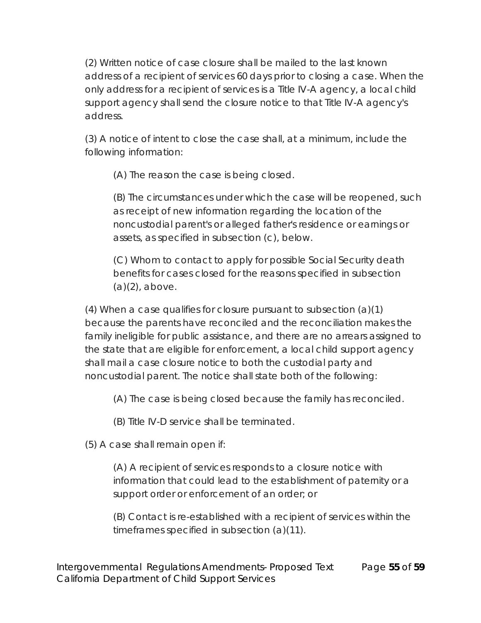(2) Written notice of case closure shall be mailed to the last known address of a recipient of services 60 days prior to closing a case. When the only address for a recipient of services is a Title IV-A agency, a local child support agency shall send the closure notice to that Title IV-A agency's address.

(3) A notice of intent to close the case shall, at a minimum, include the following information:

(A) The reason the case is being closed.

(B) The circumstances under which the case will be reopened, such as receipt of new information regarding the location of the noncustodial parent's or alleged father's residence or earnings or assets, as specified in subsection (c), below.

(C) Whom to contact to apply for possible Social Security death benefits for cases closed for the reasons specified in subsection (a)(2), above.

(4) When a case qualifies for closure pursuant to subsection (a)(1) because the parents have reconciled and the reconciliation makes the family ineligible for public assistance, and there are no arrears assigned to the state that are eligible for enforcement, a local child support agency shall mail a case closure notice to both the custodial party and noncustodial parent. The notice shall state both of the following:

(A) The case is being closed because the family has reconciled.

(B) Title IV-D service shall be terminated.

(5) A case shall remain open if:

(A) A recipient of services responds to a closure notice with information that could lead to the establishment of paternity or a support order or enforcement of an order; or

(B) Contact is re-established with a recipient of services within the timeframes specified in subsection (a)(11).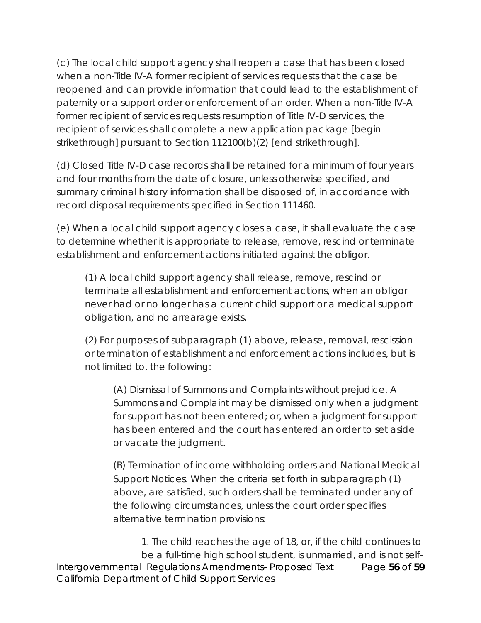(c) The local child support agency shall reopen a case that has been closed when a non-Title IV-A former recipient of services requests that the case be reopened and can provide information that could lead to the establishment of paternity or a support order or enforcement of an order. When a non-Title IV-A former recipient of services requests resumption of Title IV-D services, the recipient of services shall complete a new application package [begin strikethrough] pursuant to Section 112100(b)(2) [end strikethrough].

(d) Closed Title IV-D case records shall be retained for a minimum of four years and four months from the date of closure, unless otherwise specified, and summary criminal history information shall be disposed of, in accordance with record disposal requirements specified in Section 111460.

(e) When a local child support agency closes a case, it shall evaluate the case to determine whether it is appropriate to release, remove, rescind or terminate establishment and enforcement actions initiated against the obligor.

(1) A local child support agency shall release, remove, rescind or terminate all establishment and enforcement actions, when an obligor never had or no longer has a current child support or a medical support obligation, and no arrearage exists.

(2) For purposes of subparagraph (1) above, release, removal, rescission or termination of establishment and enforcement actions includes, but is not limited to, the following:

(A) Dismissal of Summons and Complaints without prejudice. A Summons and Complaint may be dismissed only when a judgment for support has not been entered; or, when a judgment for support has been entered and the court has entered an order to set aside or vacate the judgment.

(B) Termination of income withholding orders and National Medical Support Notices. When the criteria set forth in subparagraph (1) above, are satisfied, such orders shall be terminated under any of the following circumstances, unless the court order specifies alternative termination provisions:

Intergovernmental Regulations Amendments- Proposed Text Page **56** of **59** California Department of Child Support Services 1. The child reaches the age of 18, or, if the child continues to be a full-time high school student, is unmarried, and is not self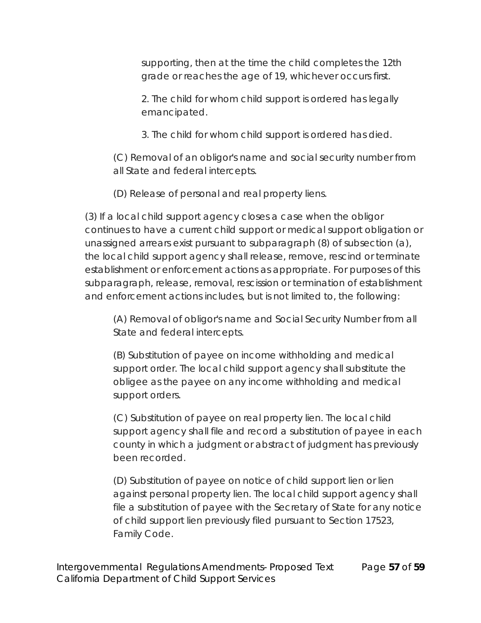supporting, then at the time the child completes the 12th grade or reaches the age of 19, whichever occurs first.

2. The child for whom child support is ordered has legally emancipated.

3. The child for whom child support is ordered has died.

(C) Removal of an obligor's name and social security number from all State and federal intercepts.

(D) Release of personal and real property liens.

(3) If a local child support agency closes a case when the obligor continues to have a current child support or medical support obligation or unassigned arrears exist pursuant to subparagraph (8) of subsection (a), the local child support agency shall release, remove, rescind or terminate establishment or enforcement actions as appropriate. For purposes of this subparagraph, release, removal, rescission or termination of establishment and enforcement actions includes, but is not limited to, the following:

(A) Removal of obligor's name and Social Security Number from all State and federal intercepts.

(B) Substitution of payee on income withholding and medical support order. The local child support agency shall substitute the obligee as the payee on any income withholding and medical support orders.

(C) Substitution of payee on real property lien. The local child support agency shall file and record a substitution of payee in each county in which a judgment or abstract of judgment has previously been recorded.

(D) Substitution of payee on notice of child support lien or lien against personal property lien. The local child support agency shall file a substitution of payee with the Secretary of State for any notice of child support lien previously filed pursuant to Section 17523, Family Code.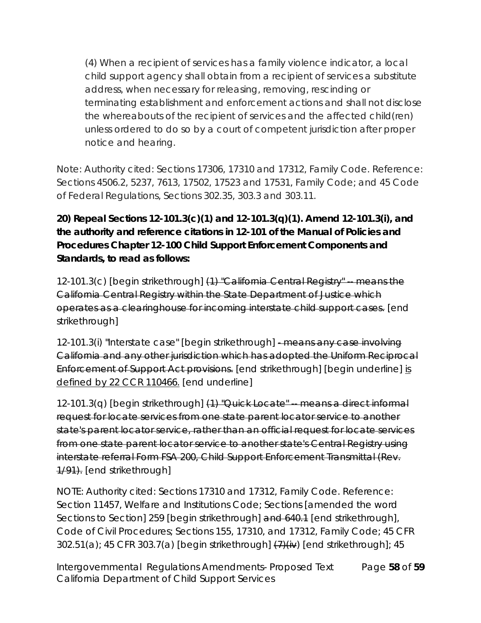(4) When a recipient of services has a family violence indicator, a local child support agency shall obtain from a recipient of services a substitute address, when necessary for releasing, removing, rescinding or terminating establishment and enforcement actions and shall not disclose the whereabouts of the recipient of services and the affected child(ren) unless ordered to do so by a court of competent jurisdiction after proper notice and hearing.

Note: Authority cited: Sections 17306, 17310 and 17312, Family Code. Reference: Sections 4506.2, 5237, 7613, 17502, 17523 and 17531, Family Code; and 45 Code of Federal Regulations, Sections 302.35, 303.3 and 303.11.

**20) Repeal Sections 12-101.3(c)(1) and 12-101.3(q)(1). Amend 12-101.3(i), and the authority and reference citations in 12-101 of the Manual of Policies and Procedures Chapter 12-100 Child Support Enforcement Components and Standards, to read as follows:**

12-101.3(c) [begin strikethrough] (1) "California Central Registry" -- means the California Central Registry within the State Department of Justice which operates as a clearinghouse for incoming interstate child support cases. [end strikethrough]

12-101.3(i) "Interstate case" [begin strikethrough] - means any case involving California and any other jurisdiction which has adopted the Uniform Reciprocal Enforcement of Support Act provisions. [end strikethrough] [begin underline] is defined by 22 CCR 110466. [end underline]

 $12-101.3(q)$  [begin strikethrough]  $(1)$  "Quick Locate" - means a direct informal request for locate services from one state parent locator service to another state's parent locator service, rather than an official request for locate services from one state parent locator service to another state's Central Registry using interstate referral Form FSA 200, Child Support Enforcement Transmittal (Rev. 1/91). [end strikethrough]

NOTE: Authority cited: Sections 17310 and 17312, Family Code. Reference: Section 11457, Welfare and Institutions Code; Sections [amended the word Sections to Section] 259 [begin strikethrough] and 640.1 [end strikethrough], Code of Civil Procedures; Sections 155, 17310, and 17312, Family Code; 45 CFR  $302.51(a)$ ; 45 CFR 303.7(a) [begin strikethrough]  $\left(7\right)\left(i\right)$  [end strikethrough]; 45

Intergovernmental Regulations Amendments- Proposed Text Page **58** of **59** California Department of Child Support Services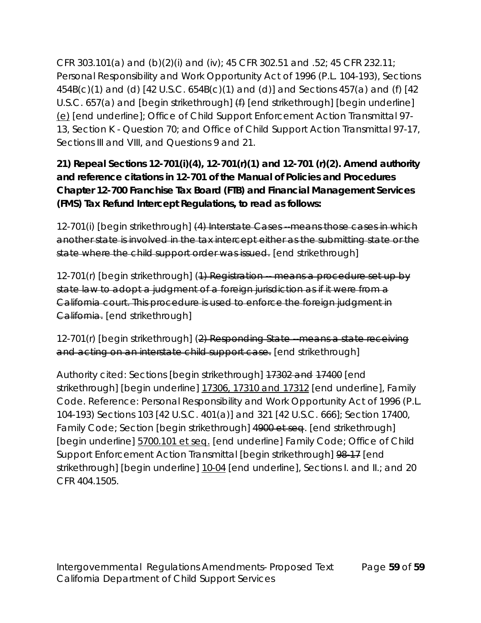CFR 303.101(a) and (b)(2)(i) and (iv); 45 CFR 302.51 and .52; 45 CFR 232.11; Personal Responsibility and Work Opportunity Act of 1996 (P.L. 104-193), Sections 454B(c)(1) and (d) [42 U.S.C. 654B(c)(1) and (d)] and Sections 457(a) and (f) [42 U.S.C. 657(a) and [begin strikethrough]  $(f)$  [end strikethrough] [begin underline] (e) [end underline]; Office of Child Support Enforcement Action Transmittal 97- 13, Section K - Question 70; and Office of Child Support Action Transmittal 97-17, Sections III and VIII, and Questions 9 and 21.

**21) Repeal Sections 12-701(i)(4), 12-701(r)(1) and 12-701 (r)(2). Amend authority and reference citations in 12-701 of the Manual of Policies and Procedures Chapter 12-700 Franchise Tax Board (FTB) and Financial Management Services (FMS) Tax Refund Intercept Regulations, to read as follows:**

12-701(i) [begin strikethrough] (4) Interstate Cases --means those cases in which another state is involved in the tax intercept either as the submitting state or the state where the child support order was issued. [end strikethrough]

12-701(r) [begin strikethrough] (1) Registration - means a procedure set up by state law to adopt a judgment of a foreign jurisdiction as if it were from a California court. This procedure is used to enforce the foreign judgment in California. [end strikethrough]

12-701(r) [begin strikethrough] (2) Responding State --means a state receiving and acting on an interstate child support case. [end strikethrough]

Authority cited: Sections [begin strikethrough] 17302 and 17400 [end strikethrough] [begin underline] 17306, 17310 and 17312 [end underline], Family Code. Reference: Personal Responsibility and Work Opportunity Act of 1996 (P.L. 104-193) Sections 103 [42 U.S.C. 401(a)] and 321 [42 U.S.C. 666]; Section 17400, Family Code; Section [begin strikethrough] 4900 et seq. [end strikethrough] [begin underline] 5700.101 et seq. [end underline] Family Code; Office of Child Support Enforcement Action Transmittal [begin strikethrough] 98-17 [end strikethrough] [begin underline] 10-04 [end underline], Sections I. and II.; and 20 CFR 404.1505.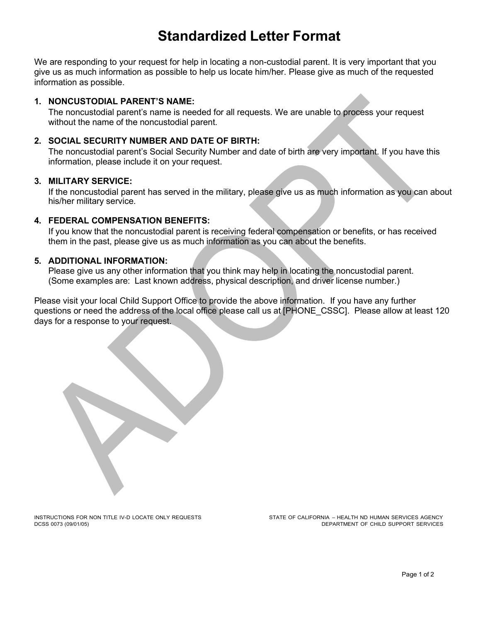# **Standardized Letter Format**

We are responding to your request for help in locating a non-custodial parent. It is very important that you give us as much information as possible to help us locate him/her. Please give as much of the requested information as possible.

#### **1. NONCUSTODIAL PARENT'S NAME:**

The noncustodial parent's name is needed for all requests. We are unable to process your request without the name of the noncustodial parent.

#### **2. SOCIAL SECURITY NUMBER AND DATE OF BIRTH:**

The noncustodial parent's Social Security Number and date of birth are very important. If you have this information, please include it on your request.

#### **3. MILITARY SERVICE:**

If the noncustodial parent has served in the military, please give us as much information as you can about his/her military service.

### **4. FEDERAL COMPENSATION BENEFITS:**

If you know that the noncustodial parent is receiving federal compensation or benefits, or has received them in the past, please give us as much information as you can about the benefits.

#### **5. ADDITIONAL INFORMATION:**

Please give us any other information that you think may help in locating the noncustodial parent. (Some examples are: Last known address, physical description, and driver license number.)

Please visit your local Child Support Office to provide the above information. If you have any further questions or need the address of the local office please call us at [PHONE\_CSSC]. Please allow at least 120 days for a response to your request.

INSTRUCTIONS FOR NON TITLE IV-D LOCATE ONLY REQUESTS SAND THE STATE OF CALIFORNIA – HEALTH ND HUMAN SERVICES AGENCY<br>DEPARTMENT OF CHILD SUPPORT SERVICES DEPARTMENT OF CHILD SUPPORT SERVICES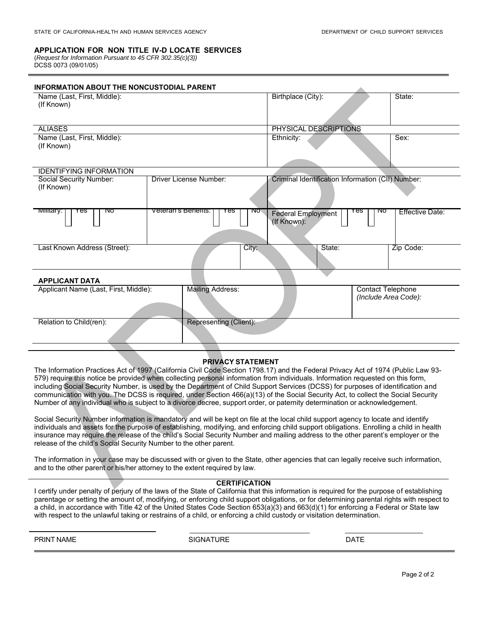#### **APPLICATION FOR NON TITLE IV-D LOCATE SERVICES**

(*Request for Information Pursuant to 45 CFR 302.35(c)(3))* DCSS 0073 (09/01/05)

| <b>INFORMATION ABOUT THE NONCUSTODIAL PARENT</b>                 |                                   |                                                   |                                                  |  |
|------------------------------------------------------------------|-----------------------------------|---------------------------------------------------|--------------------------------------------------|--|
| Name (Last, First, Middle):<br>(If Known)                        |                                   | Birthplace (City):                                | State:                                           |  |
|                                                                  |                                   |                                                   |                                                  |  |
| <b>ALIASES</b>                                                   |                                   | PHYSICAL DESCRIPTIONS                             |                                                  |  |
| Name (Last, First, Middle):<br>(If Known)                        |                                   | Ethnicity:                                        | Sex:                                             |  |
| <b>IDENTIFYING INFORMATION</b>                                   |                                   |                                                   |                                                  |  |
| Social Security Number:<br>(If Known)                            | Driver License Number:            | Criminal Identification Information (CII) Number: |                                                  |  |
| <u>ivillitary:</u><br>ाषठ<br>Yes                                 | veteran's Benefits:<br>res<br>ाषठ | Yes<br><b>Federal Employment</b><br>(If Known):   | ΝO<br>Effective Date:                            |  |
| Last Known Address (Street):                                     | City:                             | State:                                            | Zip Code:                                        |  |
| <b>APPLICANT DATA</b>                                            |                                   |                                                   |                                                  |  |
| <b>Mailing Address:</b><br>Applicant Name (Last, First, Middle): |                                   |                                                   | <b>Contact Telephone</b><br>(Include Area Code): |  |
| Relation to Child(ren):                                          | <b>Representing (Client):</b>     |                                                   |                                                  |  |

#### **PRIVACY STATEMENT**

The Information Practices Act of 1997 (California Civil Code Section 1798.17) and the Federal Privacy Act of 1974 (Public Law 93- 579) require this notice be provided when collecting personal information from individuals. Information requested on this form, including Social Security Number, is used by the Department of Child Support Services (DCSS) for purposes of identification and communication with you. The DCSS is required, under Section 466(a)(13) of the Social Security Act, to collect the Social Security Number of any individual who is subject to a divorce decree, support order, or paternity determination or acknowledgement.

Social Security Number information is mandatory and will be kept on file at the local child support agency to locate and identify individuals and assets for the purpose of establishing, modifying, and enforcing child support obligations. Enrolling a child in health insurance may require the release of the child's Social Security Number and mailing address to the other parent's employer or the release of the child's Social Security Number to the other parent.

The information in your case may be discussed with or given to the State, other agencies that can legally receive such information, and to the other parent or his/her attorney to the extent required by law.

#### **CERTIFICATION**

I certify under penalty of perjury of the laws of the State of California that this information is required for the purpose of establishing parentage or setting the amount of, modifying, or enforcing child support obligations, or for determining parental rights with respect to a child, in accordance with Title 42 of the United States Code Section 653(a)(3) and 663(d)(1) for enforcing a Federal or State law with respect to the unlawful taking or restrains of a child, or enforcing a child custody or visitation determination.

PRINT NAME DATE SIGNATURE THE SIGNATURE SIGNATURE AND DATE